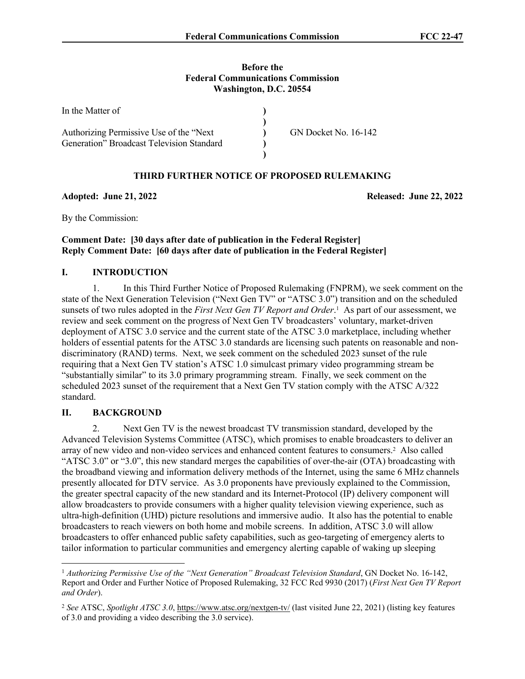#### **Before the Federal Communications Commission Washington, D.C. 20554**

| In the Matter of                          |                             |
|-------------------------------------------|-----------------------------|
| Authorizing Permissive Use of the "Next"  | <b>GN Docket No. 16-142</b> |
| Generation" Broadcast Television Standard |                             |
|                                           |                             |

### **THIRD FURTHER NOTICE OF PROPOSED RULEMAKING**

**Adopted: June 21, 2022 Released: June 22, 2022**

By the Commission:

## **Comment Date: [30 days after date of publication in the Federal Register] Reply Comment Date: [60 days after date of publication in the Federal Register]**

## **I. INTRODUCTION**

1. In this Third Further Notice of Proposed Rulemaking (FNPRM), we seek comment on the state of the Next Generation Television ("Next Gen TV" or "ATSC 3.0") transition and on the scheduled sunsets of two rules adopted in the *First Next Gen TV Report and Order*. 1 As part of our assessment, we review and seek comment on the progress of Next Gen TV broadcasters' voluntary, market-driven deployment of ATSC 3.0 service and the current state of the ATSC 3.0 marketplace, including whether holders of essential patents for the ATSC 3.0 standards are licensing such patents on reasonable and nondiscriminatory (RAND) terms. Next, we seek comment on the scheduled 2023 sunset of the rule requiring that a Next Gen TV station's ATSC 1.0 simulcast primary video programming stream be "substantially similar" to its 3.0 primary programming stream. Finally, we seek comment on the scheduled 2023 sunset of the requirement that a Next Gen TV station comply with the ATSC A/322 standard.

### **II. BACKGROUND**

2. Next Gen TV is the newest broadcast TV transmission standard, developed by the Advanced Television Systems Committee (ATSC), which promises to enable broadcasters to deliver an array of new video and non-video services and enhanced content features to consumers.<sup>2</sup> Also called "ATSC 3.0" or "3.0", this new standard merges the capabilities of over-the-air (OTA) broadcasting with the broadband viewing and information delivery methods of the Internet, using the same 6 MHz channels presently allocated for DTV service. As 3.0 proponents have previously explained to the Commission, the greater spectral capacity of the new standard and its Internet-Protocol (IP) delivery component will allow broadcasters to provide consumers with a higher quality television viewing experience, such as ultra-high-definition (UHD) picture resolutions and immersive audio. It also has the potential to enable broadcasters to reach viewers on both home and mobile screens. In addition, ATSC 3.0 will allow broadcasters to offer enhanced public safety capabilities, such as geo-targeting of emergency alerts to tailor information to particular communities and emergency alerting capable of waking up sleeping

<sup>1</sup> *Authorizing Permissive Use of the "Next Generation" Broadcast Television Standard*, GN Docket No. 16-142, Report and Order and Further Notice of Proposed Rulemaking, 32 FCC Rcd 9930 (2017) (*First Next Gen TV Report and Order*).

<sup>2</sup> *See* ATSC, *Spotlight ATSC 3.0*, <https://www.atsc.org/nextgen-tv/> (last visited June 22, 2021) (listing key features of 3.0 and providing a video describing the 3.0 service).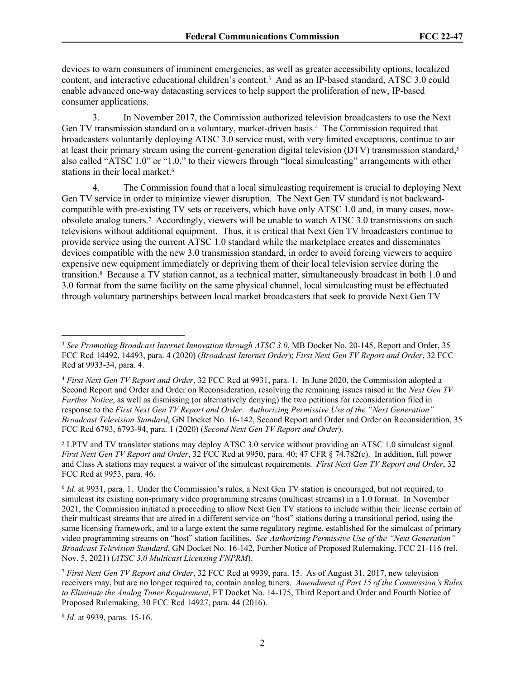devices to warn consumers of imminent emergencies, as well as greater accessibility options, localized content, and interactive educational children's content.<sup>3</sup> And as an IP-based standard, ATSC 3.0 could enable advanced one-way datacasting services to help support the proliferation of new, IP-based consumer applications.

3. In November 2017, the Commission authorized television broadcasters to use the Next Gen TV transmission standard on a voluntary, market-driven basis.<sup>4</sup> The Commission required that broadcasters voluntarily deploying ATSC 3.0 service must, with very limited exceptions, continue to air at least their primary stream using the current-generation digital television (DTV) transmission standard,<sup>5</sup> also called "ATSC 1.0" or "1.0," to their viewers through "local simulcasting" arrangements with other stations in their local market.<sup>6</sup>

4. The Commission found that a local simulcasting requirement is crucial to deploying Next Gen TV service in order to minimize viewer disruption. The Next Gen TV standard is not backwardcompatible with pre-existing TV sets or receivers, which have only ATSC 1.0 and, in many cases, nowobsolete analog tuners.<sup>7</sup> Accordingly, viewers will be unable to watch ATSC 3.0 transmissions on such televisions without additional equipment. Thus, it is critical that Next Gen TV broadcasters continue to provide service using the current ATSC 1.0 standard while the marketplace creates and disseminates devices compatible with the new 3.0 transmission standard, in order to avoid forcing viewers to acquire expensive new equipment immediately or depriving them of their local television service during the transition.<sup>8</sup> Because a TV station cannot, as a technical matter, simultaneously broadcast in both 1.0 and 3.0 format from the same facility on the same physical channel, local simulcasting must be effectuated through voluntary partnerships between local market broadcasters that seek to provide Next Gen TV

8 *Id*. at 9939, paras. 15-16.

<sup>3</sup> *See Promoting Broadcast Internet Innovation through ATSC 3.0*, MB Docket No. 20-145, Report and Order, 35 FCC Rcd 14492, 14493, para. 4 (2020) (*Broadcast Internet Order*); *First Next Gen TV Report and Order*, 32 FCC Rcd at 9933-34, para. 4.

<sup>4</sup> *First Next Gen TV Report and Order*, 32 FCC Rcd at 9931, para. 1. In June 2020, the Commission adopted a Second Report and Order and Order on Reconsideration, resolving the remaining issues raised in the *Next Gen TV Further Notice*, as well as dismissing (or alternatively denying) the two petitions for reconsideration filed in response to the *First Next Gen TV Report and Order*. *Authorizing Permissive Use of the "Next Generation" Broadcast Television Standard*, GN Docket No. 16-142, Second Report and Order and Order on Reconsideration, 35 FCC Rcd 6793, 6793-94, para. 1 (2020) (*Second Next Gen TV Report and Order*).

<sup>&</sup>lt;sup>5</sup> LPTV and TV translator stations may deploy ATSC 3.0 service without providing an ATSC 1.0 simulcast signal. *First Next Gen TV Report and Order*, 32 FCC Rcd at 9950, para. 40; 47 CFR § 74.782(c). In addition, full power and Class A stations may request a waiver of the simulcast requirements. *First Next Gen TV Report and Order*, 32 FCC Rcd at 9953, para. 46.

<sup>6</sup> *Id*. at 9931, para. 1. Under the Commission's rules, a Next Gen TV station is encouraged, but not required, to simulcast its existing non-primary video programming streams (multicast streams) in a 1.0 format. In November 2021, the Commission initiated a proceeding to allow Next Gen TV stations to include within their license certain of their multicast streams that are aired in a different service on "host" stations during a transitional period, using the same licensing framework, and to a large extent the same regulatory regime, established for the simulcast of primary video programming streams on "host" station facilities. *See Authorizing Permissive Use of the "Next Generation" Broadcast Television Standard*, GN Docket No. 16-142, Further Notice of Proposed Rulemaking, FCC 21-116 (rel. Nov. 5, 2021) (*ATSC 3.0 Multicast Licensing FNPRM*).

<sup>7</sup> *First Next Gen TV Report and Order*, 32 FCC Rcd at 9939, para. 15. As of August 31, 2017, new television receivers may, but are no longer required to, contain analog tuners. *Amendment of Part 15 of the Commission's Rules to Eliminate the Analog Tuner Requirement*, ET Docket No. 14-175, Third Report and Order and Fourth Notice of Proposed Rulemaking, 30 FCC Rcd 14927, para. 44 (2016).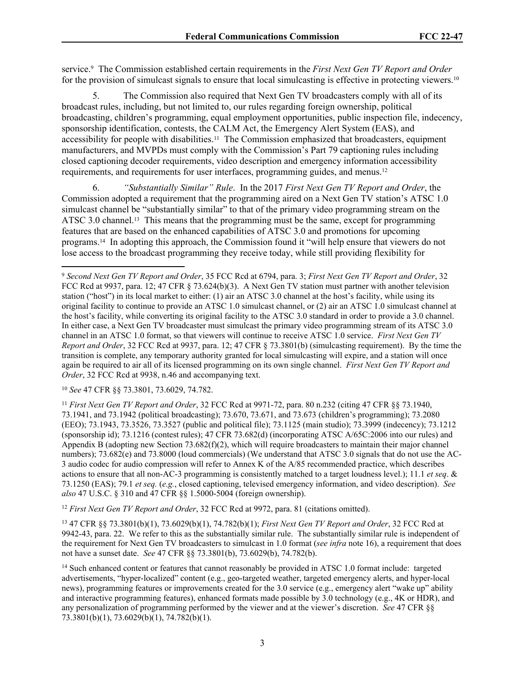service.<sup>9</sup> The Commission established certain requirements in the *First Next Gen TV Report and Order*  for the provision of simulcast signals to ensure that local simulcasting is effective in protecting viewers.<sup>10</sup>

5. The Commission also required that Next Gen TV broadcasters comply with all of its broadcast rules, including, but not limited to, our rules regarding foreign ownership, political broadcasting, children's programming, equal employment opportunities, public inspection file, indecency, sponsorship identification, contests, the CALM Act, the Emergency Alert System (EAS), and accessibility for people with disabilities.11 The Commission emphasized that broadcasters, equipment manufacturers, and MVPDs must comply with the Commission's Part 79 captioning rules including closed captioning decoder requirements, video description and emergency information accessibility requirements, and requirements for user interfaces, programming guides, and menus.<sup>12</sup>

6. *"Substantially Similar" Rule*. In the 2017 *First Next Gen TV Report and Order*, the Commission adopted a requirement that the programming aired on a Next Gen TV station's ATSC 1.0 simulcast channel be "substantially similar" to that of the primary video programming stream on the ATSC 3.0 channel.<sup>13</sup> This means that the programming must be the same, except for programming features that are based on the enhanced capabilities of ATSC 3.0 and promotions for upcoming programs.14 In adopting this approach, the Commission found it "will help ensure that viewers do not lose access to the broadcast programming they receive today, while still providing flexibility for

<sup>10</sup> *See* 47 CFR §§ 73.3801, 73.6029, 74.782.

<sup>11</sup> *First Next Gen TV Report and Order*, 32 FCC Rcd at 9971-72, para. 80 n.232 (citing 47 CFR §§ 73.1940, 73.1941, and 73.1942 (political broadcasting); 73.670, 73.671, and 73.673 (children's programming); 73.2080 (EEO); 73.1943, 73.3526, 73.3527 (public and political file); 73.1125 (main studio); 73.3999 (indecency); 73.1212 (sponsorship id); 73.1216 (contest rules); 47 CFR 73.682(d) (incorporating ATSC A/65C:2006 into our rules) and Appendix B (adopting new Section 73.682(f)(2), which will require broadcasters to maintain their major channel numbers); 73.682(e) and 73.8000 (loud commercials) (We understand that ATSC 3.0 signals that do not use the AC-3 audio codec for audio compression will refer to Annex K of the A/85 recommended practice, which describes actions to ensure that all non-AC-3 programming is consistently matched to a target loudness level.); 11.1 *et seq*. & 73.1250 (EAS); 79.1 *et seq.* (*e.g.*, closed captioning, televised emergency information, and video description). *See also* 47 U.S.C. § 310 and 47 CFR §§ 1.5000-5004 (foreign ownership).

<sup>12</sup> *First Next Gen TV Report and Order*, 32 FCC Rcd at 9972, para. 81 (citations omitted).

<sup>13</sup> 47 CFR §§ 73.3801(b)(1), 73.6029(b)(1), 74.782(b)(1); *First Next Gen TV Report and Order*, 32 FCC Rcd at 9942-43, para. 22. We refer to this as the substantially similar rule. The substantially similar rule is independent of the requirement for Next Gen TV broadcasters to simulcast in 1.0 format (*see infra* note 16), a requirement that does not have a sunset date. *See* 47 CFR §§ 73.3801(b), 73.6029(b), 74.782(b).

<sup>14</sup> Such enhanced content or features that cannot reasonably be provided in ATSC 1.0 format include: targeted advertisements, "hyper-localized" content (e.g., geo-targeted weather, targeted emergency alerts, and hyper-local news), programming features or improvements created for the 3.0 service (e.g., emergency alert "wake up" ability and interactive programming features), enhanced formats made possible by 3.0 technology (e.g., 4K or HDR), and any personalization of programming performed by the viewer and at the viewer's discretion. *See* 47 CFR §§ 73.3801(b)(1), 73.6029(b)(1), 74.782(b)(1).

<sup>9</sup> *Second Next Gen TV Report and Order*, 35 FCC Rcd at 6794, para. 3; *First Next Gen TV Report and Order*, 32 FCC Rcd at 9937, para. 12; 47 CFR § 73.624(b)(3). A Next Gen TV station must partner with another television station ("host") in its local market to either: (1) air an ATSC 3.0 channel at the host's facility, while using its original facility to continue to provide an ATSC 1.0 simulcast channel, or (2) air an ATSC 1.0 simulcast channel at the host's facility, while converting its original facility to the ATSC 3.0 standard in order to provide a 3.0 channel. In either case, a Next Gen TV broadcaster must simulcast the primary video programming stream of its ATSC 3.0 channel in an ATSC 1.0 format, so that viewers will continue to receive ATSC 1.0 service. *First Next Gen TV Report and Order*, 32 FCC Rcd at 9937, para. 12; 47 CFR § 73.3801(b) (simulcasting requirement). By the time the transition is complete, any temporary authority granted for local simulcasting will expire, and a station will once again be required to air all of its licensed programming on its own single channel. *First Next Gen TV Report and Order*, 32 FCC Rcd at 9938, n.46 and accompanying text.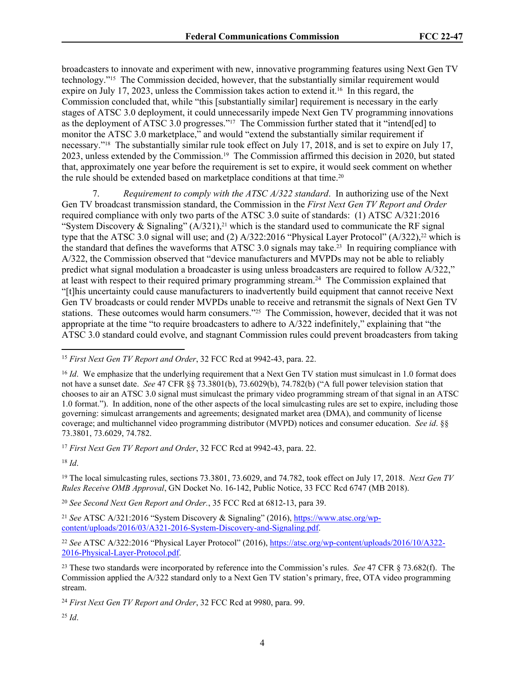broadcasters to innovate and experiment with new, innovative programming features using Next Gen TV technology."15 The Commission decided, however, that the substantially similar requirement would expire on July 17, 2023, unless the Commission takes action to extend it.16 In this regard, the Commission concluded that, while "this [substantially similar] requirement is necessary in the early stages of ATSC 3.0 deployment, it could unnecessarily impede Next Gen TV programming innovations as the deployment of ATSC 3.0 progresses."17 The Commission further stated that it "intend[ed] to monitor the ATSC 3.0 marketplace," and would "extend the substantially similar requirement if necessary."18 The substantially similar rule took effect on July 17, 2018, and is set to expire on July 17, 2023, unless extended by the Commission.19 The Commission affirmed this decision in 2020, but stated that, approximately one year before the requirement is set to expire, it would seek comment on whether the rule should be extended based on marketplace conditions at that time.<sup>20</sup>

7. *Requirement to comply with the ATSC A/322 standard*. In authorizing use of the Next Gen TV broadcast transmission standard, the Commission in the *First Next Gen TV Report and Order*  required compliance with only two parts of the ATSC 3.0 suite of standards: (1) ATSC A/321:2016 "System Discovery & Signaling"  $(A/321)$ ,<sup>21</sup> which is the standard used to communicate the RF signal type that the ATSC 3.0 signal will use; and  $(2)$  A/322:2016 "Physical Layer Protocol"  $(A/322)$ ,<sup>22</sup> which is the standard that defines the waveforms that ATSC 3.0 signals may take.<sup>23</sup> In requiring compliance with A/322, the Commission observed that "device manufacturers and MVPDs may not be able to reliably predict what signal modulation a broadcaster is using unless broadcasters are required to follow A/322," at least with respect to their required primary programming stream.<sup>24</sup> The Commission explained that "[t]his uncertainty could cause manufacturers to inadvertently build equipment that cannot receive Next Gen TV broadcasts or could render MVPDs unable to receive and retransmit the signals of Next Gen TV stations. These outcomes would harm consumers."25 The Commission, however, decided that it was not appropriate at the time "to require broadcasters to adhere to A/322 indefinitely," explaining that "the ATSC 3.0 standard could evolve, and stagnant Commission rules could prevent broadcasters from taking

<sup>17</sup> *First Next Gen TV Report and Order*, 32 FCC Rcd at 9942-43, para. 22.

<sup>18</sup> *Id*.

<sup>19</sup> The local simulcasting rules, sections 73.3801, 73.6029, and 74.782, took effect on July 17, 2018. *Next Gen TV Rules Receive OMB Approval*, GN Docket No. 16-142, Public Notice, 33 FCC Rcd 6747 (MB 2018).

<sup>20</sup> *See Second Next Gen Report and Order.*, 35 FCC Rcd at 6812-13, para 39.

<sup>21</sup> *See* ATSC A/321:2016 "System Discovery & Signaling" (2016), [https://www.atsc.org/wp](https://www.atsc.org/wp-content/uploads/2016/03/A321-2016-System-Discovery-and-Signaling.pdf)[content/uploads/2016/03/A321-2016-System-Discovery-and-Signaling.pdf.](https://www.atsc.org/wp-content/uploads/2016/03/A321-2016-System-Discovery-and-Signaling.pdf)

<sup>22</sup> *See* ATSC A/322:2016 "Physical Layer Protocol" (2016), [https://atsc.org/wp-content/uploads/2016/10/A322-](https://atsc.org/wp-content/uploads/2016/10/A322-2016-Physical-Layer-Protocol.pdf) [2016-Physical-Layer-Protocol.pdf.](https://atsc.org/wp-content/uploads/2016/10/A322-2016-Physical-Layer-Protocol.pdf)

<sup>23</sup> These two standards were incorporated by reference into the Commission's rules. *See* 47 CFR § 73.682(f). The Commission applied the A/322 standard only to a Next Gen TV station's primary, free, OTA video programming stream.

<sup>15</sup> *First Next Gen TV Report and Order*, 32 FCC Rcd at 9942-43, para. 22.

<sup>&</sup>lt;sup>16</sup> *Id.* We emphasize that the underlying requirement that a Next Gen TV station must simulcast in 1.0 format does not have a sunset date. *See* 47 CFR §§ 73.3801(b), 73.6029(b), 74.782(b) ("A full power television station that chooses to air an ATSC 3.0 signal must simulcast the primary video programming stream of that signal in an ATSC 1.0 format."). In addition, none of the other aspects of the local simulcasting rules are set to expire, including those governing: simulcast arrangements and agreements; designated market area (DMA), and community of license coverage; and multichannel video programming distributor (MVPD) notices and consumer education. *See id*. §§ 73.3801, 73.6029, 74.782.

<sup>24</sup> *First Next Gen TV Report and Order*, 32 FCC Rcd at 9980, para. 99.

<sup>25</sup> *Id*.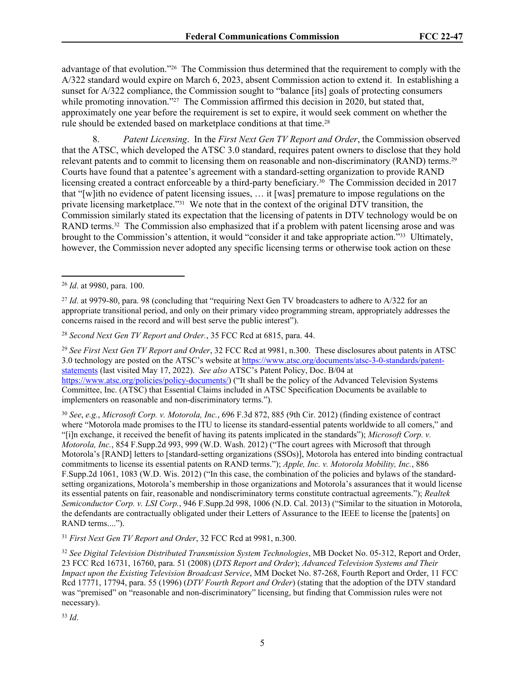advantage of that evolution."26 The Commission thus determined that the requirement to comply with the A/322 standard would expire on March 6, 2023, absent Commission action to extend it. In establishing a sunset for A/322 compliance, the Commission sought to "balance [its] goals of protecting consumers while promoting innovation."<sup>27</sup> The Commission affirmed this decision in 2020, but stated that, approximately one year before the requirement is set to expire, it would seek comment on whether the rule should be extended based on marketplace conditions at that time.<sup>28</sup>

8. *Patent Licensing*. In the *First Next Gen TV Report and Order*, the Commission observed that the ATSC, which developed the ATSC 3.0 standard, requires patent owners to disclose that they hold relevant patents and to commit to licensing them on reasonable and non-discriminatory (RAND) terms.<sup>29</sup> Courts have found that a patentee's agreement with a standard-setting organization to provide RAND licensing created a contract enforceable by a third-party beneficiary.30 The Commission decided in 2017 that "[w]ith no evidence of patent licensing issues, … it [was] premature to impose regulations on the private licensing marketplace."31 We note that in the context of the original DTV transition, the Commission similarly stated its expectation that the licensing of patents in DTV technology would be on RAND terms.<sup>32</sup> The Commission also emphasized that if a problem with patent licensing arose and was brought to the Commission's attention, it would "consider it and take appropriate action."33 Ultimately, however, the Commission never adopted any specific licensing terms or otherwise took action on these

<sup>28</sup> *Second Next Gen TV Report and Order.*, 35 FCC Rcd at 6815, para. 44.

<sup>29</sup> *See First Next Gen TV Report and Order*, 32 FCC Rcd at 9981, n.300. These disclosures about patents in ATSC 3.0 technology are posted on the ATSC's website at [https://www.atsc.org/documents/atsc-3-0-standards/patent](https://www.atsc.org/documents/atsc-3-0-standards/patent-statements/)[statements](https://www.atsc.org/documents/atsc-3-0-standards/patent-statements/) (last visited May 17, 2022). *See also* ATSC's Patent Policy, Doc. B/04 at <https://www.atsc.org/policies/policy-documents/>) ("It shall be the policy of the Advanced Television Systems Committee, Inc. (ATSC) that Essential Claims included in ATSC Specification Documents be available to implementers on reasonable and non-discriminatory terms.").

<sup>30</sup> *See*, *e.g.*, *Microsoft Corp. v. Motorola, Inc.*, 696 F.3d 872, 885 (9th Cir. 2012) (finding existence of contract where "Motorola made promises to the ITU to license its standard-essential patents worldwide to all comers," and "[i]n exchange, it received the benefit of having its patents implicated in the standards"); *Microsoft Corp. v. Motorola, Inc.*, 854 F.Supp.2d 993, 999 (W.D. Wash. 2012) ("The court agrees with Microsoft that through Motorola's [RAND] letters to [standard-setting organizations (SSOs)], Motorola has entered into binding contractual commitments to license its essential patents on RAND terms."); *Apple, Inc. v. Motorola Mobility, Inc.*, 886 F.Supp.2d 1061, 1083 (W.D. Wis. 2012) ("In this case, the combination of the policies and bylaws of the standardsetting organizations, Motorola's membership in those organizations and Motorola's assurances that it would license its essential patents on fair, reasonable and nondiscriminatory terms constitute contractual agreements."); *Realtek Semiconductor Corp. v. LSI Corp.*, 946 F.Supp.2d 998, 1006 (N.D. Cal. 2013) ("Similar to the situation in Motorola, the defendants are contractually obligated under their Letters of Assurance to the IEEE to license the [patents] on RAND terms....").

<sup>31</sup> *First Next Gen TV Report and Order*, 32 FCC Rcd at 9981, n.300.

<sup>32</sup> *See Digital Television Distributed Transmission System Technologies*, MB Docket No. 05-312, Report and Order, 23 FCC Rcd 16731, 16760, para. 51 (2008) (*DTS Report and Order*); *Advanced Television Systems and Their Impact upon the Existing Television Broadcast Service*, MM Docket No. 87-268, Fourth Report and Order, 11 FCC Rcd 17771, 17794, para. 55 (1996) (*DTV Fourth Report and Order*) (stating that the adoption of the DTV standard was "premised" on "reasonable and non-discriminatory" licensing, but finding that Commission rules were not necessary).

<sup>33</sup> *Id*.

<sup>26</sup> *Id*. at 9980, para. 100.

<sup>&</sup>lt;sup>27</sup> *Id.* at 9979-80, para. 98 (concluding that "requiring Next Gen TV broadcasters to adhere to A/322 for an appropriate transitional period, and only on their primary video programming stream, appropriately addresses the concerns raised in the record and will best serve the public interest").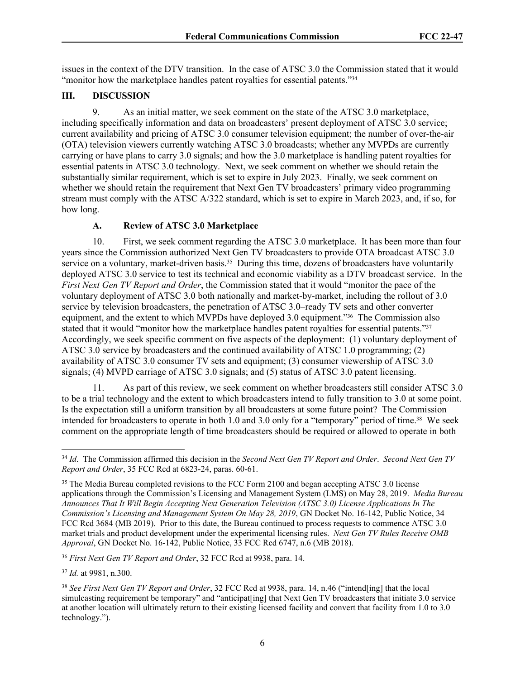issues in the context of the DTV transition. In the case of ATSC 3.0 the Commission stated that it would "monitor how the marketplace handles patent royalties for essential patents."<sup>34</sup>

### **III. DISCUSSION**

9. As an initial matter, we seek comment on the state of the ATSC 3.0 marketplace, including specifically information and data on broadcasters' present deployment of ATSC 3.0 service; current availability and pricing of ATSC 3.0 consumer television equipment; the number of over-the-air (OTA) television viewers currently watching ATSC 3.0 broadcasts; whether any MVPDs are currently carrying or have plans to carry 3.0 signals; and how the 3.0 marketplace is handling patent royalties for essential patents in ATSC 3.0 technology. Next, we seek comment on whether we should retain the substantially similar requirement, which is set to expire in July 2023. Finally, we seek comment on whether we should retain the requirement that Next Gen TV broadcasters' primary video programming stream must comply with the ATSC A/322 standard, which is set to expire in March 2023, and, if so, for how long.

## **A. Review of ATSC 3.0 Marketplace**

10. First, we seek comment regarding the ATSC 3.0 marketplace. It has been more than four years since the Commission authorized Next Gen TV broadcasters to provide OTA broadcast ATSC 3.0 service on a voluntary, market-driven basis.<sup>35</sup> During this time, dozens of broadcasters have voluntarily deployed ATSC 3.0 service to test its technical and economic viability as a DTV broadcast service. In the *First Next Gen TV Report and Order*, the Commission stated that it would "monitor the pace of the voluntary deployment of ATSC 3.0 both nationally and market-by-market, including the rollout of 3.0 service by television broadcasters, the penetration of ATSC 3.0–ready TV sets and other converter equipment, and the extent to which MVPDs have deployed 3.0 equipment."36 The Commission also stated that it would "monitor how the marketplace handles patent royalties for essential patents."<sup>37</sup> Accordingly, we seek specific comment on five aspects of the deployment: (1) voluntary deployment of ATSC 3.0 service by broadcasters and the continued availability of ATSC 1.0 programming; (2) availability of ATSC 3.0 consumer TV sets and equipment; (3) consumer viewership of ATSC 3.0 signals; (4) MVPD carriage of ATSC 3.0 signals; and (5) status of ATSC 3.0 patent licensing.

11. As part of this review, we seek comment on whether broadcasters still consider ATSC 3.0 to be a trial technology and the extent to which broadcasters intend to fully transition to 3.0 at some point. Is the expectation still a uniform transition by all broadcasters at some future point? The Commission intended for broadcasters to operate in both 1.0 and 3.0 only for a "temporary" period of time.38 We seek comment on the appropriate length of time broadcasters should be required or allowed to operate in both

<sup>36</sup> *First Next Gen TV Report and Order*, 32 FCC Rcd at 9938, para. 14.

<sup>37</sup> *Id.* at 9981, n.300.

<sup>34</sup> *Id*. The Commission affirmed this decision in the *Second Next Gen TV Report and Order*. *Second Next Gen TV Report and Order*, 35 FCC Rcd at 6823-24, paras. 60-61.

<sup>&</sup>lt;sup>35</sup> The Media Bureau completed revisions to the FCC Form 2100 and began accepting ATSC 3.0 license applications through the Commission's Licensing and Management System (LMS) on May 28, 2019. *Media Bureau Announces That It Will Begin Accepting Next Generation Television (ATSC 3.0) License Applications In The Commission's Licensing and Management System On May 28, 2019*, GN Docket No. 16-142, Public Notice, 34 FCC Rcd 3684 (MB 2019). Prior to this date, the Bureau continued to process requests to commence ATSC 3.0 market trials and product development under the experimental licensing rules. *Next Gen TV Rules Receive OMB Approval*, GN Docket No. 16-142, Public Notice, 33 FCC Rcd 6747, n.6 (MB 2018).

<sup>38</sup> *See First Next Gen TV Report and Order*, 32 FCC Rcd at 9938, para. 14, n.46 ("intend[ing] that the local simulcasting requirement be temporary" and "anticipat[ing] that Next Gen TV broadcasters that initiate 3.0 service at another location will ultimately return to their existing licensed facility and convert that facility from 1.0 to 3.0 technology.").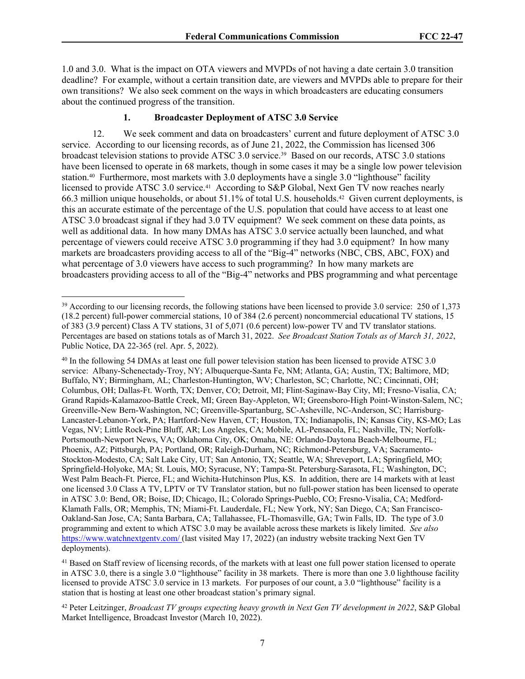1.0 and 3.0. What is the impact on OTA viewers and MVPDs of not having a date certain 3.0 transition deadline? For example, without a certain transition date, are viewers and MVPDs able to prepare for their own transitions? We also seek comment on the ways in which broadcasters are educating consumers about the continued progress of the transition.

## **1. Broadcaster Deployment of ATSC 3.0 Service**

12. We seek comment and data on broadcasters' current and future deployment of ATSC 3.0 service. According to our licensing records, as of June 21, 2022, the Commission has licensed 306 broadcast television stations to provide ATSC 3.0 service.39 Based on our records, ATSC 3.0 stations have been licensed to operate in 68 markets, though in some cases it may be a single low power television station.<sup>40</sup> Furthermore, most markets with 3.0 deployments have a single 3.0 "lighthouse" facility licensed to provide ATSC 3.0 service.41 According to S&P Global, Next Gen TV now reaches nearly 66.3 million unique households, or about 51.1% of total U.S. households.42 Given current deployments, is this an accurate estimate of the percentage of the U.S. population that could have access to at least one ATSC 3.0 broadcast signal if they had 3.0 TV equipment? We seek comment on these data points, as well as additional data. In how many DMAs has ATSC 3.0 service actually been launched, and what percentage of viewers could receive ATSC 3.0 programming if they had 3.0 equipment? In how many markets are broadcasters providing access to all of the "Big-4" networks (NBC, CBS, ABC, FOX) and what percentage of 3.0 viewers have access to such programming? In how many markets are broadcasters providing access to all of the "Big-4" networks and PBS programming and what percentage

<sup>40</sup> In the following 54 DMAs at least one full power television station has been licensed to provide ATSC 3.0 service: Albany-Schenectady-Troy, NY; Albuquerque-Santa Fe, NM; Atlanta, GA; Austin, TX; Baltimore, MD; Buffalo, NY; Birmingham, AL; Charleston-Huntington, WV; Charleston, SC; Charlotte, NC; Cincinnati, OH; Columbus, OH; Dallas-Ft. Worth, TX; Denver, CO; Detroit, MI; Flint-Saginaw-Bay City, MI; Fresno-Visalia, CA; Grand Rapids-Kalamazoo-Battle Creek, MI; Green Bay-Appleton, WI; Greensboro-High Point-Winston-Salem, NC; Greenville-New Bern-Washington, NC; Greenville-Spartanburg, SC-Asheville, NC-Anderson, SC; Harrisburg-Lancaster-Lebanon-York, PA; Hartford-New Haven, CT; Houston, TX; Indianapolis, IN; Kansas City, KS-MO; Las Vegas, NV; Little Rock-Pine Bluff, AR; Los Angeles, CA; Mobile, AL-Pensacola, FL; Nashville, TN; Norfolk-Portsmouth-Newport News, VA; Oklahoma City, OK; Omaha, NE: Orlando-Daytona Beach-Melbourne, FL; Phoenix, AZ; Pittsburgh, PA; Portland, OR; Raleigh-Durham, NC; Richmond-Petersburg, VA; Sacramento-Stockton-Modesto, CA; Salt Lake City, UT; San Antonio, TX; Seattle, WA; Shreveport, LA; Springfield, MO; Springfield-Holyoke, MA; St. Louis, MO; Syracuse, NY; Tampa-St. Petersburg-Sarasota, FL; Washington, DC; West Palm Beach-Ft. Pierce, FL; and Wichita-Hutchinson Plus, KS. In addition, there are 14 markets with at least one licensed 3.0 Class A TV, LPTV or TV Translator station, but no full-power station has been licensed to operate in ATSC 3.0: Bend, OR; Boise, ID; Chicago, IL; Colorado Springs-Pueblo, CO; Fresno-Visalia, CA; Medford-Klamath Falls, OR; Memphis, TN; Miami-Ft. Lauderdale, FL; New York, NY; San Diego, CA; San Francisco-Oakland-San Jose, CA; Santa Barbara, CA; Tallahassee, FL-Thomasville, GA; Twin Falls, ID. The type of 3.0 programming and extent to which ATSC 3.0 may be available across these markets is likely limited. *See also* <https://www.watchnextgentv.com/>(last visited May 17, 2022) (an industry website tracking Next Gen TV deployments).

<sup>41</sup> Based on Staff review of licensing records, of the markets with at least one full power station licensed to operate in ATSC 3.0, there is a single 3.0 "lighthouse" facility in 38 markets. There is more than one 3.0 lighthouse facility licensed to provide ATSC 3.0 service in 13 markets. For purposes of our count, a 3.0 "lighthouse" facility is a station that is hosting at least one other broadcast station's primary signal.

<sup>42</sup> Peter Leitzinger, *Broadcast TV groups expecting heavy growth in Next Gen TV development in 2022*, S&P Global Market Intelligence, Broadcast Investor (March 10, 2022).

<sup>&</sup>lt;sup>39</sup> According to our licensing records, the following stations have been licensed to provide 3.0 service: 250 of 1,373 (18.2 percent) full-power commercial stations, 10 of 384 (2.6 percent) noncommercial educational TV stations, 15 of 383 (3.9 percent) Class A TV stations, 31 of 5,071 (0.6 percent) low-power TV and TV translator stations. Percentages are based on stations totals as of March 31, 2022. *See Broadcast Station Totals as of March 31, 2022*, Public Notice, DA 22-365 (rel. Apr. 5, 2022).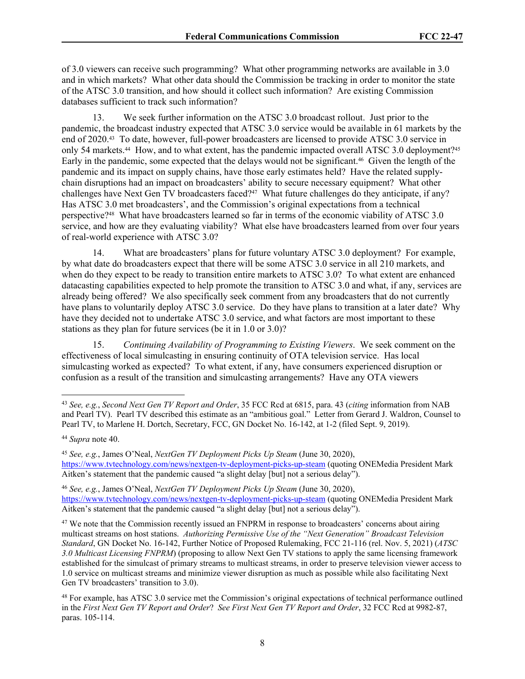of 3.0 viewers can receive such programming? What other programming networks are available in 3.0 and in which markets? What other data should the Commission be tracking in order to monitor the state of the ATSC 3.0 transition, and how should it collect such information? Are existing Commission databases sufficient to track such information?

13. We seek further information on the ATSC 3.0 broadcast rollout. Just prior to the pandemic, the broadcast industry expected that ATSC 3.0 service would be available in 61 markets by the end of 2020.43 To date, however, full-power broadcasters are licensed to provide ATSC 3.0 service in only 54 markets.<sup>44</sup> How, and to what extent, has the pandemic impacted overall ATSC 3.0 deployment?<sup>45</sup> Early in the pandemic, some expected that the delays would not be significant.46 Given the length of the pandemic and its impact on supply chains, have those early estimates held? Have the related supplychain disruptions had an impact on broadcasters' ability to secure necessary equipment? What other challenges have Next Gen TV broadcasters faced?47 What future challenges do they anticipate, if any? Has ATSC 3.0 met broadcasters', and the Commission's original expectations from a technical perspective?48 What have broadcasters learned so far in terms of the economic viability of ATSC 3.0 service, and how are they evaluating viability? What else have broadcasters learned from over four years of real-world experience with ATSC 3.0?

14. What are broadcasters' plans for future voluntary ATSC 3.0 deployment? For example, by what date do broadcasters expect that there will be some ATSC 3.0 service in all 210 markets, and when do they expect to be ready to transition entire markets to ATSC 3.0? To what extent are enhanced datacasting capabilities expected to help promote the transition to ATSC 3.0 and what, if any, services are already being offered? We also specifically seek comment from any broadcasters that do not currently have plans to voluntarily deploy ATSC 3.0 service. Do they have plans to transition at a later date? Why have they decided not to undertake ATSC 3.0 service, and what factors are most important to these stations as they plan for future services (be it in 1.0 or 3.0)?

15. *Continuing Availability of Programming to Existing Viewers*. We seek comment on the effectiveness of local simulcasting in ensuring continuity of OTA television service. Has local simulcasting worked as expected? To what extent, if any, have consumers experienced disruption or confusion as a result of the transition and simulcasting arrangements? Have any OTA viewers

<sup>43</sup> *See, e.g.*, *Second Next Gen TV Report and Order*, 35 FCC Rcd at 6815, para. 43 (*citing* information from NAB and Pearl TV). Pearl TV described this estimate as an "ambitious goal." Letter from Gerard J. Waldron, Counsel to Pearl TV, to Marlene H. Dortch, Secretary, FCC, GN Docket No. 16-142, at 1-2 (filed Sept. 9, 2019).

<sup>44</sup> *Supra* note 40.

<sup>45</sup> *See, e.g.*, James O'Neal, *NextGen TV Deployment Picks Up Steam* (June 30, 2020), <https://www.tvtechnology.com/news/nextgen-tv-deployment-picks-up-steam>(quoting ONEMedia President Mark Aitken's statement that the pandemic caused "a slight delay [but] not a serious delay").

<sup>46</sup> *See, e.g.*, James O'Neal, *NextGen TV Deployment Picks Up Steam* (June 30, 2020), <https://www.tvtechnology.com/news/nextgen-tv-deployment-picks-up-steam>(quoting ONEMedia President Mark Aitken's statement that the pandemic caused "a slight delay [but] not a serious delay").

<sup>&</sup>lt;sup>47</sup> We note that the Commission recently issued an FNPRM in response to broadcasters' concerns about airing multicast streams on host stations. *Authorizing Permissive Use of the "Next Generation" Broadcast Television Standard*, GN Docket No. 16-142, Further Notice of Proposed Rulemaking, FCC 21-116 (rel. Nov. 5, 2021) (*ATSC 3.0 Multicast Licensing FNPRM*) (proposing to allow Next Gen TV stations to apply the same licensing framework established for the simulcast of primary streams to multicast streams, in order to preserve television viewer access to 1.0 service on multicast streams and minimize viewer disruption as much as possible while also facilitating Next Gen TV broadcasters' transition to 3.0).

<sup>48</sup> For example, has ATSC 3.0 service met the Commission's original expectations of technical performance outlined in the *First Next Gen TV Report and Order*? *See First Next Gen TV Report and Order*, 32 FCC Rcd at 9982-87, paras. 105-114.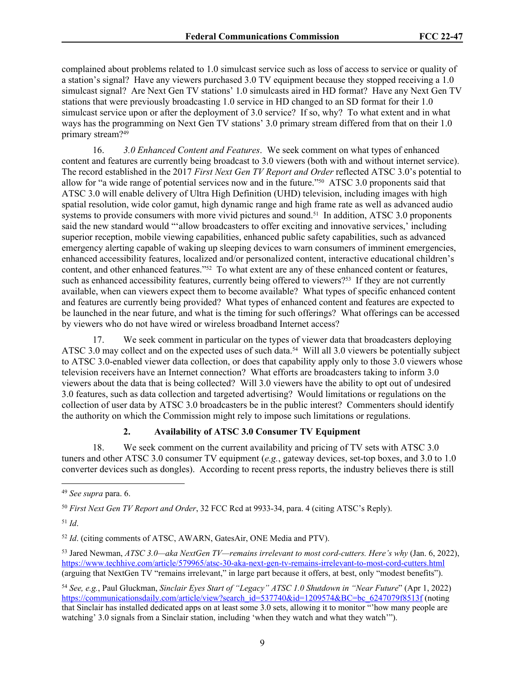complained about problems related to 1.0 simulcast service such as loss of access to service or quality of a station's signal? Have any viewers purchased 3.0 TV equipment because they stopped receiving a 1.0 simulcast signal? Are Next Gen TV stations' 1.0 simulcasts aired in HD format? Have any Next Gen TV stations that were previously broadcasting 1.0 service in HD changed to an SD format for their 1.0 simulcast service upon or after the deployment of 3.0 service? If so, why? To what extent and in what ways has the programming on Next Gen TV stations' 3.0 primary stream differed from that on their 1.0 primary stream?<sup>49</sup>

16. *3.0 Enhanced Content and Features*. We seek comment on what types of enhanced content and features are currently being broadcast to 3.0 viewers (both with and without internet service). The record established in the 2017 *First Next Gen TV Report and Order* reflected ATSC 3.0's potential to allow for "a wide range of potential services now and in the future."50 ATSC 3.0 proponents said that ATSC 3.0 will enable delivery of Ultra High Definition (UHD) television, including images with high spatial resolution, wide color gamut, high dynamic range and high frame rate as well as advanced audio systems to provide consumers with more vivid pictures and sound.<sup>51</sup> In addition, ATSC 3.0 proponents said the new standard would "'allow broadcasters to offer exciting and innovative services,' including superior reception, mobile viewing capabilities, enhanced public safety capabilities, such as advanced emergency alerting capable of waking up sleeping devices to warn consumers of imminent emergencies, enhanced accessibility features, localized and/or personalized content, interactive educational children's content, and other enhanced features."52 To what extent are any of these enhanced content or features, such as enhanced accessibility features, currently being offered to viewers?<sup>53</sup> If they are not currently available, when can viewers expect them to become available? What types of specific enhanced content and features are currently being provided? What types of enhanced content and features are expected to be launched in the near future, and what is the timing for such offerings? What offerings can be accessed by viewers who do not have wired or wireless broadband Internet access?

17. We seek comment in particular on the types of viewer data that broadcasters deploying ATSC 3.0 may collect and on the expected uses of such data.<sup>54</sup> Will all 3.0 viewers be potentially subject to ATSC 3.0-enabled viewer data collection, or does that capability apply only to those 3.0 viewers whose television receivers have an Internet connection? What efforts are broadcasters taking to inform 3.0 viewers about the data that is being collected? Will 3.0 viewers have the ability to opt out of undesired 3.0 features, such as data collection and targeted advertising? Would limitations or regulations on the collection of user data by ATSC 3.0 broadcasters be in the public interest? Commenters should identify the authority on which the Commission might rely to impose such limitations or regulations.

## **2. Availability of ATSC 3.0 Consumer TV Equipment**

18. We seek comment on the current availability and pricing of TV sets with ATSC 3.0 tuners and other ATSC 3.0 consumer TV equipment (*e.g.*, gateway devices, set-top boxes, and 3.0 to 1.0 converter devices such as dongles). According to recent press reports, the industry believes there is still

<sup>51</sup> *Id*.

<sup>54</sup> *See, e.g.*, Paul Gluckman, *Sinclair Eyes Start of "Legacy" ATSC 1.0 Shutdown in "Near Future*" (Apr 1, 2022) [https://communicationsdaily.com/article/view?search\\_id=537740&id=1209574&BC=bc\\_6247079f8513f](https://communicationsdaily.com/article/view?search_id=537740&id=1209574&BC=bc_6247079f8513f) (noting that Sinclair has installed dedicated apps on at least some 3.0 sets, allowing it to monitor "'how many people are watching' 3.0 signals from a Sinclair station, including 'when they watch and what they watch'").

<sup>49</sup> *See supra* para. 6.

<sup>50</sup> *First Next Gen TV Report and Order*, 32 FCC Rcd at 9933-34, para. 4 (citing ATSC's Reply).

<sup>52</sup> *Id*. (citing comments of ATSC, AWARN, GatesAir, ONE Media and PTV).

<sup>53</sup> Jared Newman, *ATSC 3.0—aka NextGen TV—remains irrelevant to most cord-cutters. Here's why* (Jan. 6, 2022), <https://www.techhive.com/article/579965/atsc-30-aka-next-gen-tv-remains-irrelevant-to-most-cord-cutters.html> (arguing that NextGen TV "remains irrelevant," in large part because it offers, at best, only "modest benefits").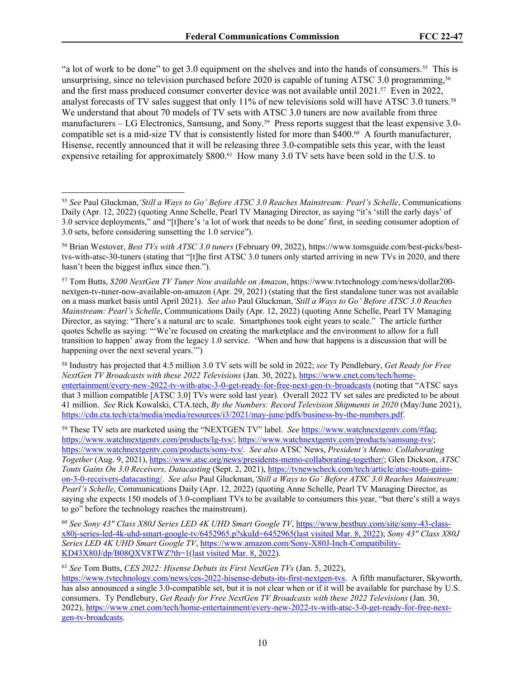"a lot of work to be done" to get 3.0 equipment on the shelves and into the hands of consumers.55 This is unsurprising, since no television purchased before 2020 is capable of tuning ATSC 3.0 programming,<sup>56</sup> and the first mass produced consumer converter device was not available until 2021.57 Even in 2022, analyst forecasts of TV sales suggest that only 11% of new televisions sold will have ATSC 3.0 tuners.<sup>58</sup> We understand that about 70 models of TV sets with ATSC 3.0 tuners are now available from three manufacturers – LG Electronics, Samsung, and Sony.<sup>59</sup> Press reports suggest that the least expensive 3.0compatible set is a mid-size TV that is consistently listed for more than \$400.60 A fourth manufacturer, Hisense, recently announced that it will be releasing three 3.0-compatible sets this year, with the least expensive retailing for approximately \$800.<sup>61</sup> How many 3.0 TV sets have been sold in the U.S. to

<sup>58</sup> Industry has projected that 4.5 million 3.0 TV sets will be sold in 2022; *see* Ty Pendlebury, *Get Ready for Free NextGen TV Broadcasts with these 2022 Televisions* (Jan. 30, 2022), [https://www.cnet.com/tech/home](https://www.cnet.com/tech/home-entertainment/every-new-2022-tv-with-atsc-3-0-get-ready-for-free-next-gen-tv-broadcasts)[entertainment/every-new-2022-tv-with-atsc-3-0-get-ready-for-free-next-gen-tv-broadcasts](https://www.cnet.com/tech/home-entertainment/every-new-2022-tv-with-atsc-3-0-get-ready-for-free-next-gen-tv-broadcasts) (noting that "ATSC says that 3 million compatible [ATSC 3.0] TVs were sold last year). Overall 2022 TV set sales are predicted to be about 41 million. *See* Rick Kowalski, CTA.tech, *By the Numbers: Record Television Shipments in 2020* (May/June 2021), [https://cdn.cta.tech/cta/media/media/resources/i3/2021/may-june/pdfs/business-by-the-numbers.pdf.](https://cdn.cta.tech/cta/media/media/resources/i3/2021/may-june/pdfs/business-by-the-numbers.pdf)

<sup>59</sup> These TV sets are marketed using the "NEXTGEN TV" label. *See* <https://www.watchnextgentv.com/#faq>; [https://www.watchnextgentv.com/products/lg-tvs/;](https://www.watchnextgentv.com/products/lg-tvs/) [https://www.watchnextgentv.com/products/samsung-tvs/;](https://www.watchnextgentv.com/products/samsung-tvs/) [https://www.watchnextgentv.com/products/sony-tvs/.](https://www.watchnextgentv.com/products/sony-tvs/) *See also* ATSC News, *President's Memo: Collaborating Together* (Aug. 9, 2021), [https://www.atsc.org/news/presidents-memo-collaborating-together/;](https://www.atsc.org/news/presidents-memo-collaborating-together/) Glen Dickson, *ATSC Touts Gains On 3.0 Receivers, Datacasting* (Sept. 2, 2021), [https://tvnewscheck.com/tech/article/atsc-touts-gains](https://tvnewscheck.com/tech/article/atsc-touts-gains-on-3-0-receivers-datacasting/)[on-3-0-receivers-datacasting/](https://tvnewscheck.com/tech/article/atsc-touts-gains-on-3-0-receivers-datacasting/). *See also* Paul Gluckman,*'Still a Ways to Go' Before ATSC 3.0 Reaches Mainstream: Pearl's Schelle*, Communications Daily (Apr. 12, 2022) (quoting Anne Schelle, Pearl TV Managing Director, as saying she expects 150 models of 3.0-compliant TVs to be available to consumers this year, "but there's still a ways to go" before the technology reaches the mainstream).

<sup>60</sup> *See Sony 43" Class X80J Series LED 4K UHD Smart Google TV*, [https://www.bestbuy.com/site/sony-43-class](https://www.bestbuy.com/site/sony-43-class-x80j-series-led-4k-uhd-smart-google-tv/6452965.p?skuId=6452965)[x80j-series-led-4k-uhd-smart-google-tv/6452965.p?skuId=6452965\(](https://www.bestbuy.com/site/sony-43-class-x80j-series-led-4k-uhd-smart-google-tv/6452965.p?skuId=6452965)last visited Mar. 8, 2022); *Sony 43" Class X80J Series LED 4K UHD Smart Google TV*, [https://www.amazon.com/Sony-X80J-Inch-Compatibility-](https://www.amazon.com/Sony-X80J-Inch-Compatibility-KD43X80J/dp/B08QXV8TWZ?th=1)[KD43X80J/dp/B08QXV8TWZ?th=1\(](https://www.amazon.com/Sony-X80J-Inch-Compatibility-KD43X80J/dp/B08QXV8TWZ?th=1)last visited Mar. 8, 2022).

<sup>61</sup> *See* Tom Butts, *CES 2022: Hisense Debuts its First NextGen TVs* (Jan. 5, 2022),

<https://www.tvtechnology.com/news/ces-2022-hisense-debuts-its-first-nextgen-tvs>. A fifth manufacturer, Skyworth, has also announced a single 3.0-compatible set, but it is not clear when or if it will be available for purchase by U.S. consumers. Ty Pendlebury, *Get Ready for Free NextGen TV Broadcasts with these 2022 Televisions* (Jan. 30, 2022), [https://www.cnet.com/tech/home-entertainment/every-new-2022-tv-with-atsc-3-0-get-ready-for-free-next](https://www.cnet.com/tech/home-entertainment/every-new-2022-tv-with-atsc-3-0-get-ready-for-free-next-gen-tv-broadcasts)[gen-tv-broadcasts](https://www.cnet.com/tech/home-entertainment/every-new-2022-tv-with-atsc-3-0-get-ready-for-free-next-gen-tv-broadcasts).

<sup>55</sup> *See* Paul Gluckman,*'Still a Ways to Go' Before ATSC 3.0 Reaches Mainstream: Pearl's Schelle*, Communications Daily (Apr. 12, 2022) (quoting Anne Schelle, Pearl TV Managing Director, as saying "it's 'still the early days' of 3.0 service deployments," and "[t]here's 'a lot of work that needs to be done' first, in seeding consumer adoption of 3.0 sets, before considering sunsetting the 1.0 service").

<sup>56</sup> Brian Westover, *Best TVs with ATSC 3.0 tuners* (February 09, 2022), https://www.tomsguide.com/best-picks/besttvs-with-atsc-30-tuners (stating that "[t]he first ATSC 3.0 tuners only started arriving in new TVs in 2020, and there hasn't been the biggest influx since then.").

<sup>57</sup> Tom Butts, *\$200 NextGen TV Tuner Now available on Amazon*, https://www.tvtechnology.com/news/dollar200 nextgen-tv-tuner-now-available-on-amazon (Apr. 29, 2021) (stating that the first standalone tuner was not available on a mass market basis until April 2021). *See also* Paul Gluckman,*'Still a Ways to Go' Before ATSC 3.0 Reaches Mainstream: Pearl's Schelle*, Communications Daily (Apr. 12, 2022) (quoting Anne Schelle, Pearl TV Managing Director, as saying: "There's a natural arc to scale. Smartphones took eight years to scale." The article further quotes Schelle as saying: "'We're focused on creating the marketplace and the environment to allow for a full transition to happen' away from the legacy 1.0 service. 'When and how that happens is a discussion that will be happening over the next several years."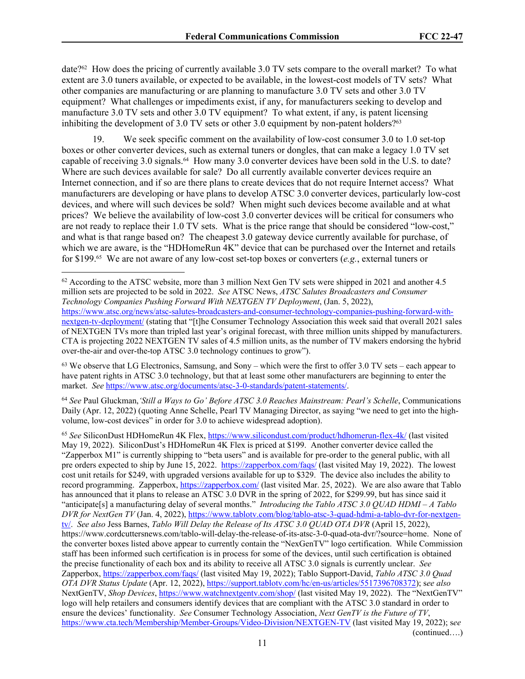date?62 How does the pricing of currently available 3.0 TV sets compare to the overall market? To what extent are 3.0 tuners available, or expected to be available, in the lowest-cost models of TV sets? What other companies are manufacturing or are planning to manufacture 3.0 TV sets and other 3.0 TV equipment? What challenges or impediments exist, if any, for manufacturers seeking to develop and manufacture 3.0 TV sets and other 3.0 TV equipment? To what extent, if any, is patent licensing inhibiting the development of 3.0 TV sets or other 3.0 equipment by non-patent holders?<sup>63</sup>

19. We seek specific comment on the availability of low-cost consumer 3.0 to 1.0 set-top boxes or other converter devices, such as external tuners or dongles, that can make a legacy 1.0 TV set capable of receiving 3.0 signals.64 How many 3.0 converter devices have been sold in the U.S. to date? Where are such devices available for sale? Do all currently available converter devices require an Internet connection, and if so are there plans to create devices that do not require Internet access? What manufacturers are developing or have plans to develop ATSC 3.0 converter devices, particularly low-cost devices, and where will such devices be sold? When might such devices become available and at what prices? We believe the availability of low-cost 3.0 converter devices will be critical for consumers who are not ready to replace their 1.0 TV sets. What is the price range that should be considered "low-cost," and what is that range based on? The cheapest 3.0 gateway device currently available for purchase, of which we are aware, is the "HDHomeRun 4K" device that can be purchased over the Internet and retails for \$199.65 We are not aware of any low-cost set-top boxes or converters (*e.g.*, external tuners or

<sup>62</sup> According to the ATSC website, more than 3 million Next Gen TV sets were shipped in 2021 and another 4.5 million sets are projected to be sold in 2022. *See* ATSC News, *ATSC Salutes Broadcasters and Consumer Technology Companies Pushing Forward With NEXTGEN TV Deployment*, (Jan. 5, 2022), [https://www.atsc.org/news/atsc-salutes-broadcasters-and-consumer-technology-companies-pushing-forward-with](https://www.atsc.org/news/atsc-salutes-broadcasters-and-consumer-technology-companies-pushing-forward-with-nextgen-tv-deployment/)[nextgen-tv-deployment/](https://www.atsc.org/news/atsc-salutes-broadcasters-and-consumer-technology-companies-pushing-forward-with-nextgen-tv-deployment/) (stating that "[t]he Consumer Technology Association this week said that overall 2021 sales of NEXTGEN TVs more than tripled last year's original forecast, with three million units shipped by manufacturers. CTA is projecting 2022 NEXTGEN TV sales of 4.5 million units, as the number of TV makers endorsing the hybrid over-the-air and over-the-top ATSC 3.0 technology continues to grow").

<sup>63</sup> We observe that LG Electronics, Samsung, and Sony – which were the first to offer 3.0 TV sets – each appear to have patent rights in ATSC 3.0 technology, but that at least some other manufacturers are beginning to enter the market. *See* [https://www.atsc.org/documents/atsc-3-0-standards/patent-statements/.](https://www.atsc.org/documents/atsc-3-0-standards/patent-statements/)

<sup>64</sup> *See* Paul Gluckman,*'Still a Ways to Go' Before ATSC 3.0 Reaches Mainstream: Pearl's Schelle*, Communications Daily (Apr. 12, 2022) (quoting Anne Schelle, Pearl TV Managing Director, as saying "we need to get into the highvolume, low-cost devices" in order for 3.0 to achieve widespread adoption).

<sup>65</sup> *See* SiliconDust HDHomeRun 4K Flex, <https://www.silicondust.com/product/hdhomerun-flex-4k/> (last visited May 19, 2022). SiliconDust's HDHomeRun 4K Flex is priced at \$199. Another converter device called the "Zapperbox M1" is currently shipping to "beta users" and is available for pre-order to the general public, with all pre orders expected to ship by June 15, 2022. <https://zapperbox.com/faqs/> (last visited May 19, 2022). The lowest cost unit retails for \$249, with upgraded versions available for up to \$329. The device also includes the ability to record programming. Zapperbox,<https://zapperbox.com/> (last visited Mar. 25, 2022). We are also aware that Tablo has announced that it plans to release an ATSC 3.0 DVR in the spring of 2022, for \$299.99, but has since said it "anticipate[s] a manufacturing delay of several months." *Introducing the Tablo ATSC 3.0 QUAD HDMI – A Tablo DVR for NextGen TV* (Jan. 4, 2022), [https://www.tablotv.com/blog/tablo-atsc-3-quad-hdmi-a-tablo-dvr-for-nextgen](https://www.tablotv.com/blog/tablo-atsc-3-quad-hdmi-a-tablo-dvr-for-nextgen-tv/)[tv/.](https://www.tablotv.com/blog/tablo-atsc-3-quad-hdmi-a-tablo-dvr-for-nextgen-tv/) *See also* Jess Barnes, *Tablo Will Delay the Release of Its ATSC 3.0 QUAD OTA DVR* (April 15, 2022), https://www.cordcuttersnews.com/tablo-will-delay-the-release-of-its-atsc-3-0-quad-ota-dvr/?source=home. None of the converter boxes listed above appear to currently contain the "NexGenTV" logo certification. While Commission staff has been informed such certification is in process for some of the devices, until such certification is obtained the precise functionality of each box and its ability to receive all ATSC 3.0 signals is currently unclear. *See* Zapperbox,<https://zapperbox.com/faqs/>(last visited May 19, 2022); Tablo Support-David, *Tablo ATSC 3.0 Quad OTA DVR Status Update* (Apr. 12, 2022),<https://support.tablotv.com/hc/en-us/articles/5517396708372>); s*ee also* NextGenTV, *Shop Devices*, <https://www.watchnextgentv.com/shop/>(last visited May 19, 2022). The "NextGenTV" logo will help retailers and consumers identify devices that are compliant with the ATSC 3.0 standard in order to ensure the devices' functionality. *See* Consumer Technology Association, *Next GenTV is the Future of TV*, <https://www.cta.tech/Membership/Member-Groups/Video-Division/NEXTGEN-TV> (last visited May 19, 2022); s*ee*  (continued….)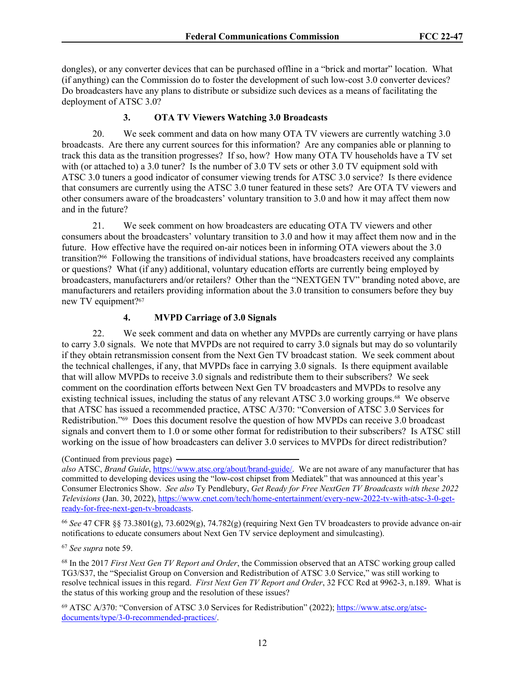dongles), or any converter devices that can be purchased offline in a "brick and mortar" location. What (if anything) can the Commission do to foster the development of such low-cost 3.0 converter devices? Do broadcasters have any plans to distribute or subsidize such devices as a means of facilitating the deployment of ATSC 3.0?

## **3. OTA TV Viewers Watching 3.0 Broadcasts**

20. We seek comment and data on how many OTA TV viewers are currently watching 3.0 broadcasts. Are there any current sources for this information? Are any companies able or planning to track this data as the transition progresses? If so, how? How many OTA TV households have a TV set with (or attached to) a 3.0 tuner? Is the number of 3.0 TV sets or other 3.0 TV equipment sold with ATSC 3.0 tuners a good indicator of consumer viewing trends for ATSC 3.0 service? Is there evidence that consumers are currently using the ATSC 3.0 tuner featured in these sets? Are OTA TV viewers and other consumers aware of the broadcasters' voluntary transition to 3.0 and how it may affect them now and in the future?

21. We seek comment on how broadcasters are educating OTA TV viewers and other consumers about the broadcasters' voluntary transition to 3.0 and how it may affect them now and in the future. How effective have the required on-air notices been in informing OTA viewers about the 3.0 transition?66 Following the transitions of individual stations, have broadcasters received any complaints or questions? What (if any) additional, voluntary education efforts are currently being employed by broadcasters, manufacturers and/or retailers? Other than the "NEXTGEN TV" branding noted above, are manufacturers and retailers providing information about the 3.0 transition to consumers before they buy new TV equipment?<sup>67</sup>

#### **4. MVPD Carriage of 3.0 Signals**

22. We seek comment and data on whether any MVPDs are currently carrying or have plans to carry 3.0 signals. We note that MVPDs are not required to carry 3.0 signals but may do so voluntarily if they obtain retransmission consent from the Next Gen TV broadcast station. We seek comment about the technical challenges, if any, that MVPDs face in carrying 3.0 signals. Is there equipment available that will allow MVPDs to receive 3.0 signals and redistribute them to their subscribers? We seek comment on the coordination efforts between Next Gen TV broadcasters and MVPDs to resolve any existing technical issues, including the status of any relevant ATSC 3.0 working groups.68 We observe that ATSC has issued a recommended practice, ATSC A/370: "Conversion of ATSC 3.0 Services for Redistribution."69 Does this document resolve the question of how MVPDs can receive 3.0 broadcast signals and convert them to 1.0 or some other format for redistribution to their subscribers? Is ATSC still working on the issue of how broadcasters can deliver 3.0 services to MVPDs for direct redistribution?

(Continued from previous page)

*also* ATSC, *Brand Guide*, [https://www.atsc.org/about/brand-guide/.](https://www.atsc.org/about/brand-guide/) We are not aware of any manufacturer that has committed to developing devices using the "low-cost chipset from Mediatek" that was announced at this year's Consumer Electronics Show. *See also* Ty Pendlebury, *Get Ready for Free NextGen TV Broadcasts with these 2022 Televisions* (Jan. 30, 2022), [https://www.cnet.com/tech/home-entertainment/every-new-2022-tv-with-atsc-3-0-get](https://www.cnet.com/tech/home-entertainment/every-new-2022-tv-with-atsc-3-0-get-ready-for-free-next-gen-tv-broadcasts)[ready-for-free-next-gen-tv-broadcasts](https://www.cnet.com/tech/home-entertainment/every-new-2022-tv-with-atsc-3-0-get-ready-for-free-next-gen-tv-broadcasts).

<sup>66</sup> *See* 47 CFR §§ 73.3801(g), 73.6029(g), 74.782(g) (requiring Next Gen TV broadcasters to provide advance on-air notifications to educate consumers about Next Gen TV service deployment and simulcasting).

<sup>67</sup> *See supra* note 59.

<sup>68</sup> In the 2017 *First Next Gen TV Report and Order*, the Commission observed that an ATSC working group called TG3/S37, the "Specialist Group on Conversion and Redistribution of ATSC 3.0 Service," was still working to resolve technical issues in this regard. *First Next Gen TV Report and Order*, 32 FCC Rcd at 9962-3, n.189. What is the status of this working group and the resolution of these issues?

<sup>69</sup> ATSC A/370: "Conversion of ATSC 3.0 Services for Redistribution" (2022); [https://www.atsc.org/atsc](https://www.atsc.org/atsc-documents/type/3-0-recommended-practices/)[documents/type/3-0-recommended-practices/](https://www.atsc.org/atsc-documents/type/3-0-recommended-practices/).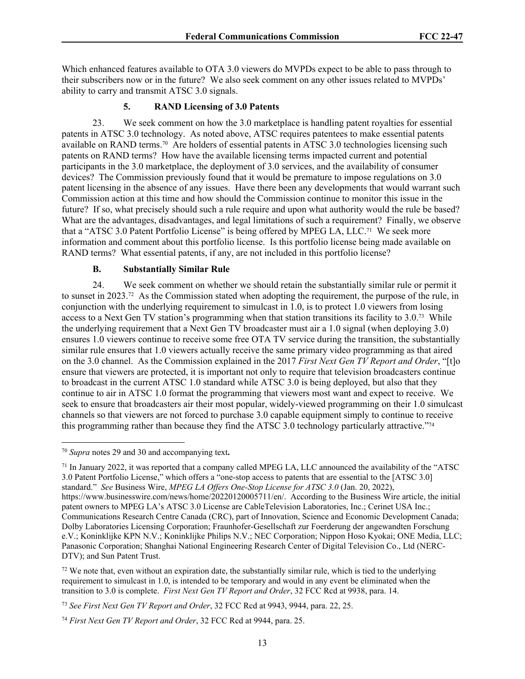Which enhanced features available to OTA 3.0 viewers do MVPDs expect to be able to pass through to their subscribers now or in the future? We also seek comment on any other issues related to MVPDs' ability to carry and transmit ATSC 3.0 signals.

### **5. RAND Licensing of 3.0 Patents**

23. We seek comment on how the 3.0 marketplace is handling patent royalties for essential patents in ATSC 3.0 technology. As noted above, ATSC requires patentees to make essential patents available on RAND terms.70 Are holders of essential patents in ATSC 3.0 technologies licensing such patents on RAND terms? How have the available licensing terms impacted current and potential participants in the 3.0 marketplace, the deployment of 3.0 services, and the availability of consumer devices? The Commission previously found that it would be premature to impose regulations on 3.0 patent licensing in the absence of any issues. Have there been any developments that would warrant such Commission action at this time and how should the Commission continue to monitor this issue in the future? If so, what precisely should such a rule require and upon what authority would the rule be based? What are the advantages, disadvantages, and legal limitations of such a requirement? Finally, we observe that a "ATSC 3.0 Patent Portfolio License" is being offered by MPEG LA, LLC.71 We seek more information and comment about this portfolio license. Is this portfolio license being made available on RAND terms? What essential patents, if any, are not included in this portfolio license?

### **B. Substantially Similar Rule**

24. We seek comment on whether we should retain the substantially similar rule or permit it to sunset in 2023.<sup>72</sup> As the Commission stated when adopting the requirement, the purpose of the rule, in conjunction with the underlying requirement to simulcast in 1.0, is to protect 1.0 viewers from losing access to a Next Gen TV station's programming when that station transitions its facility to 3.0.73 While the underlying requirement that a Next Gen TV broadcaster must air a 1.0 signal (when deploying 3.0) ensures 1.0 viewers continue to receive some free OTA TV service during the transition, the substantially similar rule ensures that 1.0 viewers actually receive the same primary video programming as that aired on the 3.0 channel. As the Commission explained in the 2017 *First Next Gen TV Report and Order*, "[t]o ensure that viewers are protected, it is important not only to require that television broadcasters continue to broadcast in the current ATSC 1.0 standard while ATSC 3.0 is being deployed, but also that they continue to air in ATSC 1.0 format the programming that viewers most want and expect to receive. We seek to ensure that broadcasters air their most popular, widely-viewed programming on their 1.0 simulcast channels so that viewers are not forced to purchase 3.0 capable equipment simply to continue to receive this programming rather than because they find the ATSC 3.0 technology particularly attractive."74

<sup>70</sup> *Supra* notes 29 and 30 and accompanying text**.**

<sup>71</sup> In January 2022, it was reported that a company called MPEG LA, LLC announced the availability of the "ATSC 3.0 Patent Portfolio License," which offers a "one-stop access to patents that are essential to the [ATSC 3.0] standard." *See* Business Wire, *MPEG LA Offers One-Stop License for ATSC 3.0* (Jan. 20, 2022), https://www.businesswire.com/news/home/20220120005711/en/. According to the Business Wire article, the initial patent owners to MPEG LA's ATSC 3.0 License are CableTelevision Laboratories, Inc.; Cerinet USA Inc.; Communications Research Centre Canada (CRC), part of Innovation, Science and Economic Development Canada; Dolby Laboratories Licensing Corporation; Fraunhofer-Gesellschaft zur Foerderung der angewandten Forschung e.V.; Koninklijke KPN N.V.; Koninklijke Philips N.V.; NEC Corporation; Nippon Hoso Kyokai; ONE Media, LLC; Panasonic Corporation; Shanghai National Engineering Research Center of Digital Television Co., Ltd (NERC-DTV); and Sun Patent Trust.

 $72$  We note that, even without an expiration date, the substantially similar rule, which is tied to the underlying requirement to simulcast in 1.0, is intended to be temporary and would in any event be eliminated when the transition to 3.0 is complete. *First Next Gen TV Report and Order*, 32 FCC Rcd at 9938, para. 14.

<sup>73</sup> *See First Next Gen TV Report and Order*, 32 FCC Rcd at 9943, 9944, para. 22, 25.

<sup>74</sup> *First Next Gen TV Report and Order*, 32 FCC Rcd at 9944, para. 25.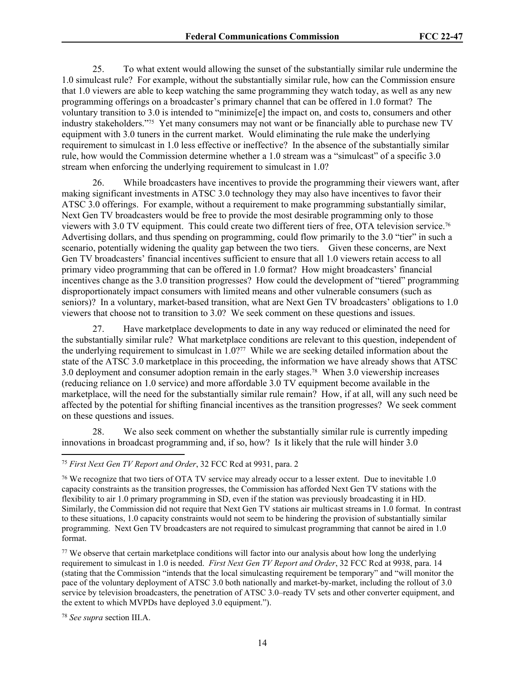25. To what extent would allowing the sunset of the substantially similar rule undermine the 1.0 simulcast rule? For example, without the substantially similar rule, how can the Commission ensure that 1.0 viewers are able to keep watching the same programming they watch today, as well as any new programming offerings on a broadcaster's primary channel that can be offered in 1.0 format? The voluntary transition to 3.0 is intended to "minimize[e] the impact on, and costs to, consumers and other industry stakeholders."75 Yet many consumers may not want or be financially able to purchase new TV equipment with 3.0 tuners in the current market. Would eliminating the rule make the underlying requirement to simulcast in 1.0 less effective or ineffective? In the absence of the substantially similar rule, how would the Commission determine whether a 1.0 stream was a "simulcast" of a specific 3.0 stream when enforcing the underlying requirement to simulcast in 1.0?

26. While broadcasters have incentives to provide the programming their viewers want, after making significant investments in ATSC 3.0 technology they may also have incentives to favor their ATSC 3.0 offerings. For example, without a requirement to make programming substantially similar, Next Gen TV broadcasters would be free to provide the most desirable programming only to those viewers with 3.0 TV equipment. This could create two different tiers of free, OTA television service.<sup>76</sup> Advertising dollars, and thus spending on programming, could flow primarily to the 3.0 "tier" in such a scenario, potentially widening the quality gap between the two tiers. Given these concerns, are Next Gen TV broadcasters' financial incentives sufficient to ensure that all 1.0 viewers retain access to all primary video programming that can be offered in 1.0 format? How might broadcasters' financial incentives change as the 3.0 transition progresses? How could the development of "tiered" programming disproportionately impact consumers with limited means and other vulnerable consumers (such as seniors)? In a voluntary, market-based transition, what are Next Gen TV broadcasters' obligations to 1.0 viewers that choose not to transition to 3.0? We seek comment on these questions and issues.

27. Have marketplace developments to date in any way reduced or eliminated the need for the substantially similar rule? What marketplace conditions are relevant to this question, independent of the underlying requirement to simulcast in 1.0?77 While we are seeking detailed information about the state of the ATSC 3.0 marketplace in this proceeding, the information we have already shows that ATSC 3.0 deployment and consumer adoption remain in the early stages.78 When 3.0 viewership increases (reducing reliance on 1.0 service) and more affordable 3.0 TV equipment become available in the marketplace, will the need for the substantially similar rule remain? How, if at all, will any such need be affected by the potential for shifting financial incentives as the transition progresses? We seek comment on these questions and issues.

28. We also seek comment on whether the substantially similar rule is currently impeding innovations in broadcast programming and, if so, how? Is it likely that the rule will hinder 3.0

<sup>75</sup> *First Next Gen TV Report and Order*, 32 FCC Rcd at 9931, para. 2

<sup>76</sup> We recognize that two tiers of OTA TV service may already occur to a lesser extent. Due to inevitable 1.0 capacity constraints as the transition progresses, the Commission has afforded Next Gen TV stations with the flexibility to air 1.0 primary programming in SD, even if the station was previously broadcasting it in HD. Similarly, the Commission did not require that Next Gen TV stations air multicast streams in 1.0 format. In contrast to these situations, 1.0 capacity constraints would not seem to be hindering the provision of substantially similar programming. Next Gen TV broadcasters are not required to simulcast programming that cannot be aired in 1.0 format.

<sup>77</sup> We observe that certain marketplace conditions will factor into our analysis about how long the underlying requirement to simulcast in 1.0 is needed. *First Next Gen TV Report and Order*, 32 FCC Rcd at 9938, para. 14 (stating that the Commission "intends that the local simulcasting requirement be temporary" and "will monitor the pace of the voluntary deployment of ATSC 3.0 both nationally and market-by-market, including the rollout of 3.0 service by television broadcasters, the penetration of ATSC 3.0–ready TV sets and other converter equipment, and the extent to which MVPDs have deployed 3.0 equipment.").

<sup>78</sup> *See supra* section III.A.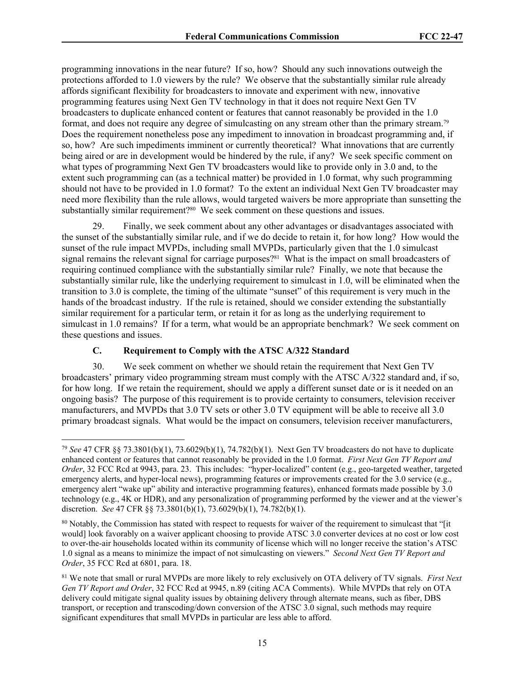programming innovations in the near future? If so, how? Should any such innovations outweigh the protections afforded to 1.0 viewers by the rule? We observe that the substantially similar rule already affords significant flexibility for broadcasters to innovate and experiment with new, innovative programming features using Next Gen TV technology in that it does not require Next Gen TV broadcasters to duplicate enhanced content or features that cannot reasonably be provided in the 1.0 format, and does not require any degree of simulcasting on any stream other than the primary stream.<sup>79</sup> Does the requirement nonetheless pose any impediment to innovation in broadcast programming and, if so, how? Are such impediments imminent or currently theoretical? What innovations that are currently being aired or are in development would be hindered by the rule, if any? We seek specific comment on what types of programming Next Gen TV broadcasters would like to provide only in 3.0 and, to the extent such programming can (as a technical matter) be provided in 1.0 format, why such programming should not have to be provided in 1.0 format? To the extent an individual Next Gen TV broadcaster may need more flexibility than the rule allows, would targeted waivers be more appropriate than sunsetting the substantially similar requirement?80 We seek comment on these questions and issues.

29. Finally, we seek comment about any other advantages or disadvantages associated with the sunset of the substantially similar rule, and if we do decide to retain it, for how long? How would the sunset of the rule impact MVPDs, including small MVPDs, particularly given that the 1.0 simulcast signal remains the relevant signal for carriage purposes?<sup>81</sup> What is the impact on small broadcasters of requiring continued compliance with the substantially similar rule? Finally, we note that because the substantially similar rule, like the underlying requirement to simulcast in 1.0, will be eliminated when the transition to 3.0 is complete, the timing of the ultimate "sunset" of this requirement is very much in the hands of the broadcast industry. If the rule is retained, should we consider extending the substantially similar requirement for a particular term, or retain it for as long as the underlying requirement to simulcast in 1.0 remains? If for a term, what would be an appropriate benchmark? We seek comment on these questions and issues.

## **C. Requirement to Comply with the ATSC A/322 Standard**

30. We seek comment on whether we should retain the requirement that Next Gen TV broadcasters' primary video programming stream must comply with the ATSC A/322 standard and, if so, for how long. If we retain the requirement, should we apply a different sunset date or is it needed on an ongoing basis? The purpose of this requirement is to provide certainty to consumers, television receiver manufacturers, and MVPDs that 3.0 TV sets or other 3.0 TV equipment will be able to receive all 3.0 primary broadcast signals. What would be the impact on consumers, television receiver manufacturers,

<sup>79</sup> *See* 47 CFR §§ 73.3801(b)(1), 73.6029(b)(1), 74.782(b)(1). Next Gen TV broadcasters do not have to duplicate enhanced content or features that cannot reasonably be provided in the 1.0 format. *First Next Gen TV Report and Order*, 32 FCC Rcd at 9943, para. 23. This includes: "hyper-localized" content (e.g., geo-targeted weather, targeted emergency alerts, and hyper-local news), programming features or improvements created for the 3.0 service (e.g., emergency alert "wake up" ability and interactive programming features), enhanced formats made possible by 3.0 technology (e.g., 4K or HDR), and any personalization of programming performed by the viewer and at the viewer's discretion. *See* 47 CFR §§ 73.3801(b)(1), 73.6029(b)(1), 74.782(b)(1).

<sup>&</sup>lt;sup>80</sup> Notably, the Commission has stated with respect to requests for waiver of the requirement to simulcast that "[it would] look favorably on a waiver applicant choosing to provide ATSC 3.0 converter devices at no cost or low cost to over-the-air households located within its community of license which will no longer receive the station's ATSC 1.0 signal as a means to minimize the impact of not simulcasting on viewers." *Second Next Gen TV Report and Order*, 35 FCC Rcd at 6801, para. 18.

<sup>81</sup> We note that small or rural MVPDs are more likely to rely exclusively on OTA delivery of TV signals. *First Next Gen TV Report and Order*, 32 FCC Rcd at 9945, n.89 (citing ACA Comments). While MVPDs that rely on OTA delivery could mitigate signal quality issues by obtaining delivery through alternate means, such as fiber, DBS transport, or reception and transcoding/down conversion of the ATSC 3.0 signal, such methods may require significant expenditures that small MVPDs in particular are less able to afford.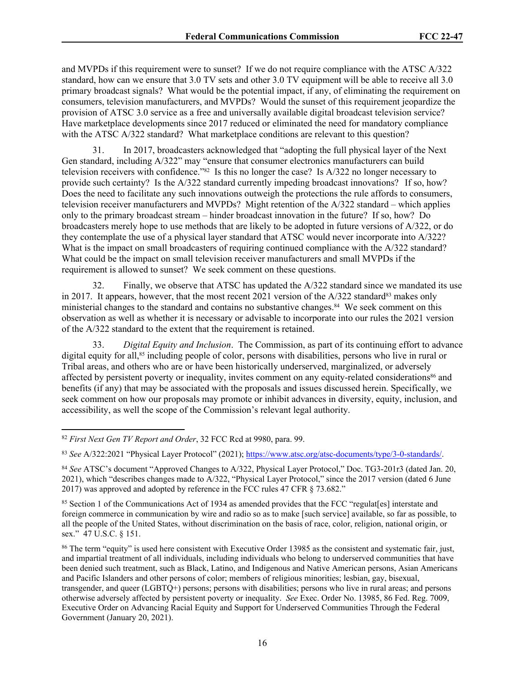and MVPDs if this requirement were to sunset? If we do not require compliance with the ATSC A/322 standard, how can we ensure that 3.0 TV sets and other 3.0 TV equipment will be able to receive all 3.0 primary broadcast signals? What would be the potential impact, if any, of eliminating the requirement on consumers, television manufacturers, and MVPDs? Would the sunset of this requirement jeopardize the provision of ATSC 3.0 service as a free and universally available digital broadcast television service? Have marketplace developments since 2017 reduced or eliminated the need for mandatory compliance with the ATSC A/322 standard? What marketplace conditions are relevant to this question?

31. In 2017, broadcasters acknowledged that "adopting the full physical layer of the Next Gen standard, including A/322" may "ensure that consumer electronics manufacturers can build television receivers with confidence."82 Is this no longer the case? Is A/322 no longer necessary to provide such certainty? Is the A/322 standard currently impeding broadcast innovations? If so, how? Does the need to facilitate any such innovations outweigh the protections the rule affords to consumers, television receiver manufacturers and MVPDs? Might retention of the A/322 standard – which applies only to the primary broadcast stream – hinder broadcast innovation in the future? If so, how? Do broadcasters merely hope to use methods that are likely to be adopted in future versions of A/322, or do they contemplate the use of a physical layer standard that ATSC would never incorporate into A/322? What is the impact on small broadcasters of requiring continued compliance with the A/322 standard? What could be the impact on small television receiver manufacturers and small MVPDs if the requirement is allowed to sunset? We seek comment on these questions.

32. Finally, we observe that ATSC has updated the A/322 standard since we mandated its use in 2017. It appears, however, that the most recent 2021 version of the  $A/322$  standard<sup>83</sup> makes only ministerial changes to the standard and contains no substantive changes.84 We seek comment on this observation as well as whether it is necessary or advisable to incorporate into our rules the 2021 version of the A/322 standard to the extent that the requirement is retained.

33. *Digital Equity and Inclusion*. The Commission, as part of its continuing effort to advance digital equity for all,<sup>85</sup> including people of color, persons with disabilities, persons who live in rural or Tribal areas, and others who are or have been historically underserved, marginalized, or adversely affected by persistent poverty or inequality, invites comment on any equity-related considerations<sup>86</sup> and benefits (if any) that may be associated with the proposals and issues discussed herein. Specifically, we seek comment on how our proposals may promote or inhibit advances in diversity, equity, inclusion, and accessibility, as well the scope of the Commission's relevant legal authority.

<sup>85</sup> Section 1 of the Communications Act of 1934 as amended provides that the FCC "regulat[es] interstate and foreign commerce in communication by wire and radio so as to make [such service] available, so far as possible, to all the people of the United States, without discrimination on the basis of race, color, religion, national origin, or sex." 47 U.S.C. § 151.

<sup>86</sup> The term "equity" is used here consistent with Executive Order 13985 as the consistent and systematic fair, just, and impartial treatment of all individuals, including individuals who belong to underserved communities that have been denied such treatment, such as Black, Latino, and Indigenous and Native American persons, Asian Americans and Pacific Islanders and other persons of color; members of religious minorities; lesbian, gay, bisexual, transgender, and queer (LGBTQ+) persons; persons with disabilities; persons who live in rural areas; and persons otherwise adversely affected by persistent poverty or inequality. *See* Exec. Order No. 13985, 86 Fed. Reg. 7009, Executive Order on Advancing Racial Equity and Support for Underserved Communities Through the Federal Government (January 20, 2021).

<sup>82</sup> *First Next Gen TV Report and Order*, 32 FCC Rcd at 9980, para. 99.

<sup>83</sup> *See* A/322:2021 "Physical Layer Protocol" (2021);<https://www.atsc.org/atsc-documents/type/3-0-standards/>.

<sup>84</sup> *See* ATSC's document "Approved Changes to A/322, Physical Layer Protocol," Doc. TG3-201r3 (dated Jan. 20, 2021), which "describes changes made to A/322, "Physical Layer Protocol," since the 2017 version (dated 6 June 2017) was approved and adopted by reference in the FCC rules 47 CFR § 73.682."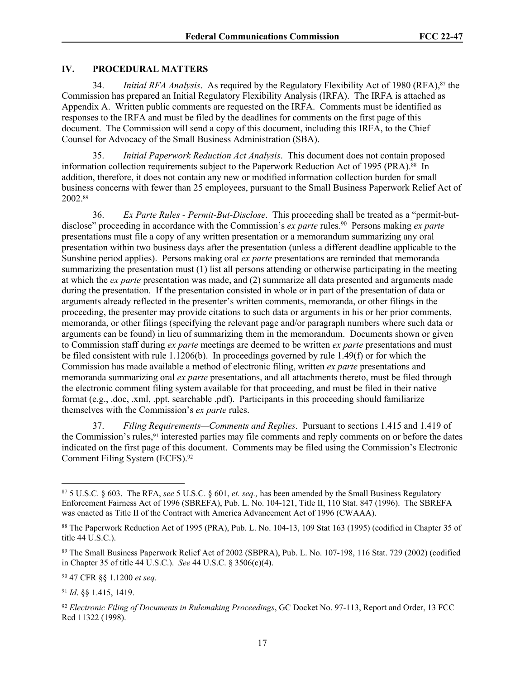### **IV. PROCEDURAL MATTERS**

34. *Initial RFA Analysis*. As required by the Regulatory Flexibility Act of 1980 (RFA),87 the Commission has prepared an Initial Regulatory Flexibility Analysis (IRFA). The IRFA is attached as Appendix A. Written public comments are requested on the IRFA. Comments must be identified as responses to the IRFA and must be filed by the deadlines for comments on the first page of this document. The Commission will send a copy of this document, including this IRFA, to the Chief Counsel for Advocacy of the Small Business Administration (SBA).

35. *Initial Paperwork Reduction Act Analysis*. This document does not contain proposed information collection requirements subject to the Paperwork Reduction Act of 1995 (PRA).<sup>88</sup> In addition, therefore, it does not contain any new or modified information collection burden for small business concerns with fewer than 25 employees, pursuant to the Small Business Paperwork Relief Act of 2002.<sup>89</sup>

36. *Ex Parte Rules - Permit-But-Disclose*. This proceeding shall be treated as a "permit-butdisclose" proceeding in accordance with the Commission's *ex parte* rules.<sup>90</sup> Persons making *ex parte* presentations must file a copy of any written presentation or a memorandum summarizing any oral presentation within two business days after the presentation (unless a different deadline applicable to the Sunshine period applies). Persons making oral *ex parte* presentations are reminded that memoranda summarizing the presentation must (1) list all persons attending or otherwise participating in the meeting at which the *ex parte* presentation was made, and (2) summarize all data presented and arguments made during the presentation. If the presentation consisted in whole or in part of the presentation of data or arguments already reflected in the presenter's written comments, memoranda, or other filings in the proceeding, the presenter may provide citations to such data or arguments in his or her prior comments, memoranda, or other filings (specifying the relevant page and/or paragraph numbers where such data or arguments can be found) in lieu of summarizing them in the memorandum. Documents shown or given to Commission staff during *ex parte* meetings are deemed to be written *ex parte* presentations and must be filed consistent with rule 1.1206(b). In proceedings governed by rule 1.49(f) or for which the Commission has made available a method of electronic filing, written *ex parte* presentations and memoranda summarizing oral *ex parte* presentations, and all attachments thereto, must be filed through the electronic comment filing system available for that proceeding, and must be filed in their native format (e.g., .doc, .xml, .ppt, searchable .pdf). Participants in this proceeding should familiarize themselves with the Commission's *ex parte* rules.

37. *Filing Requirements—Comments and Replies*. Pursuant to sections 1.415 and 1.419 of the Commission's rules,<sup>91</sup> interested parties may file comments and reply comments on or before the dates indicated on the first page of this document. Comments may be filed using the Commission's Electronic Comment Filing System (ECFS).<sup>92</sup>

<sup>90</sup> 47 CFR §§ 1.1200 *et seq.*

<sup>91</sup> *Id*. §§ 1.415, 1419.

<sup>87</sup> 5 U.S.C. § 603. The RFA, *see* 5 U.S.C. § 601, *et. seq.,* has been amended by the Small Business Regulatory Enforcement Fairness Act of 1996 (SBREFA), Pub. L. No. 104-121, Title II, 110 Stat. 847 (1996). The SBREFA was enacted as Title II of the Contract with America Advancement Act of 1996 (CWAAA).

<sup>88</sup> The Paperwork Reduction Act of 1995 (PRA), Pub. L. No. 104-13, 109 Stat 163 (1995) (codified in Chapter 35 of title 44 U.S.C.).

<sup>89</sup> The Small Business Paperwork Relief Act of 2002 (SBPRA), Pub. L. No. 107-198, 116 Stat. 729 (2002) (codified in Chapter 35 of title 44 U.S.C.). *See* 44 U.S.C. § 3506(c)(4).

<sup>92</sup> *Electronic Filing of Documents in Rulemaking Proceedings*, GC Docket No. 97-113, Report and Order, 13 FCC Rcd 11322 (1998).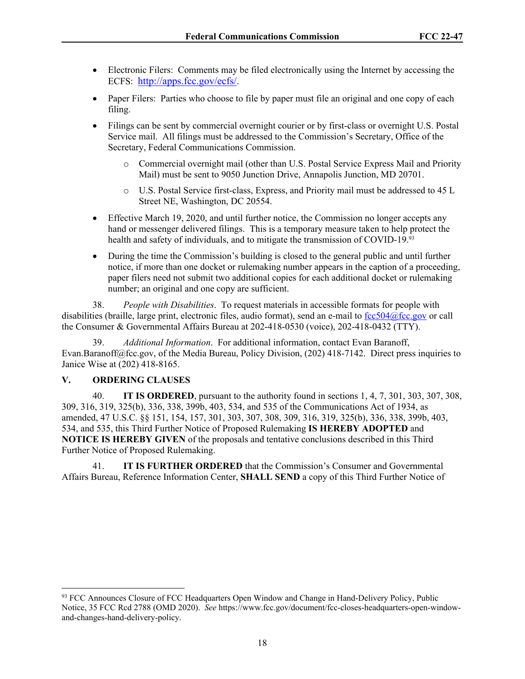- Electronic Filers: Comments may be filed electronically using the Internet by accessing the ECFS: <http://apps.fcc.gov/ecfs/>.
- Paper Filers: Parties who choose to file by paper must file an original and one copy of each filing.
- Filings can be sent by commercial overnight courier or by first-class or overnight U.S. Postal Service mail. All filings must be addressed to the Commission's Secretary, Office of the Secretary, Federal Communications Commission.
	- o Commercial overnight mail (other than U.S. Postal Service Express Mail and Priority Mail) must be sent to 9050 Junction Drive, Annapolis Junction, MD 20701.
	- o U.S. Postal Service first-class, Express, and Priority mail must be addressed to 45 L Street NE, Washington, DC 20554.
- Effective March 19, 2020, and until further notice, the Commission no longer accepts any hand or messenger delivered filings. This is a temporary measure taken to help protect the health and safety of individuals, and to mitigate the transmission of COVID-19.<sup>93</sup>
- During the time the Commission's building is closed to the general public and until further notice, if more than one docket or rulemaking number appears in the caption of a proceeding, paper filers need not submit two additional copies for each additional docket or rulemaking number; an original and one copy are sufficient.

38. *People with Disabilities*. To request materials in accessible formats for people with disabilities (braille, large print, electronic files, audio format), send an e-mail to  $\frac{fcc504@fcc.gov}{c}$  or call the Consumer & Governmental Affairs Bureau at 202-418-0530 (voice), 202-418-0432 (TTY).

39. *Additional Information*. For additional information, contact Evan Baranoff, Evan.Baranoff@fcc.gov, of the Media Bureau, Policy Division, (202) 418-7142. Direct press inquiries to Janice Wise at (202) 418-8165.

## **V. ORDERING CLAUSES**

40. **IT IS ORDERED**, pursuant to the authority found in sections 1, 4, 7, 301, 303, 307, 308, 309, 316, 319, 325(b), 336, 338, 399b, 403, 534, and 535 of the Communications Act of 1934, as amended, 47 U.S.C. §§ 151, 154, 157, 301, 303, 307, 308, 309, 316, 319, 325(b), 336, 338, 399b, 403, 534, and 535, this Third Further Notice of Proposed Rulemaking **IS HEREBY ADOPTED** and **NOTICE IS HEREBY GIVEN** of the proposals and tentative conclusions described in this Third Further Notice of Proposed Rulemaking.

41. **IT IS FURTHER ORDERED** that the Commission's Consumer and Governmental Affairs Bureau, Reference Information Center, **SHALL SEND** a copy of this Third Further Notice of

<sup>&</sup>lt;sup>93</sup> FCC Announces Closure of FCC Headquarters Open Window and Change in Hand-Delivery Policy, Public Notice, 35 FCC Rcd 2788 (OMD 2020). See https://www.fcc.gov/document/fcc-closes-headquarters-open-windowand-changes-hand-delivery-policy.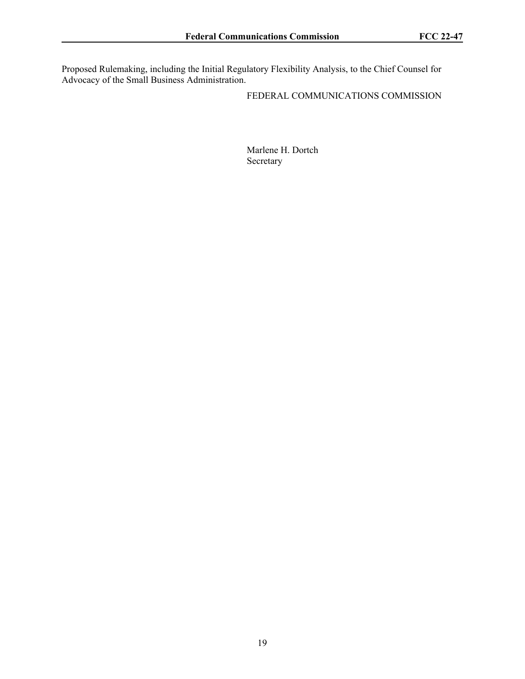Proposed Rulemaking, including the Initial Regulatory Flexibility Analysis, to the Chief Counsel for Advocacy of the Small Business Administration.

FEDERAL COMMUNICATIONS COMMISSION

Marlene H. Dortch Secretary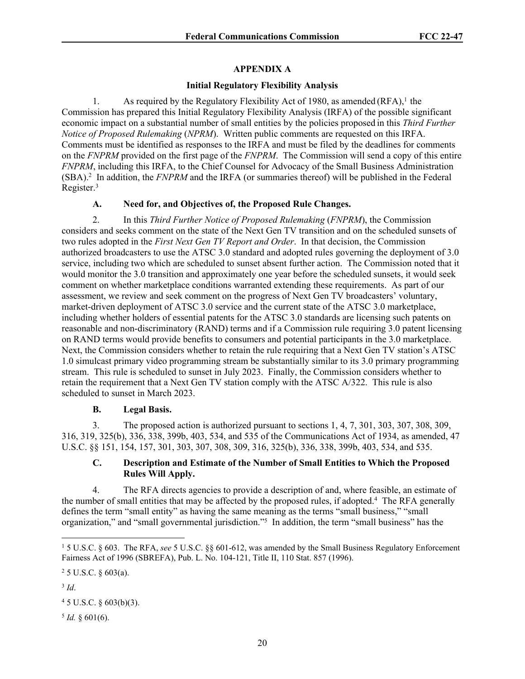# **APPENDIX A**

## **Initial Regulatory Flexibility Analysis**

1. As required by the Regulatory Flexibility Act of 1980, as amended (RFA),<sup>1</sup> the Commission has prepared this Initial Regulatory Flexibility Analysis (IRFA) of the possible significant economic impact on a substantial number of small entities by the policies proposed in this *Third Further Notice of Proposed Rulemaking* (*NPRM*). Written public comments are requested on this IRFA. Comments must be identified as responses to the IRFA and must be filed by the deadlines for comments on the *FNPRM* provided on the first page of the *FNPRM*. The Commission will send a copy of this entire *FNPRM*, including this IRFA, to the Chief Counsel for Advocacy of the Small Business Administration (SBA).<sup>2</sup> In addition, the *FNPRM* and the IRFA (or summaries thereof) will be published in the Federal Register.<sup>3</sup>

## **A. Need for, and Objectives of, the Proposed Rule Changes.**

2. In this *Third Further Notice of Proposed Rulemaking* (*FNPRM*), the Commission considers and seeks comment on the state of the Next Gen TV transition and on the scheduled sunsets of two rules adopted in the *First Next Gen TV Report and Order*. In that decision, the Commission authorized broadcasters to use the ATSC 3.0 standard and adopted rules governing the deployment of 3.0 service, including two which are scheduled to sunset absent further action. The Commission noted that it would monitor the 3.0 transition and approximately one year before the scheduled sunsets, it would seek comment on whether marketplace conditions warranted extending these requirements. As part of our assessment, we review and seek comment on the progress of Next Gen TV broadcasters' voluntary, market-driven deployment of ATSC 3.0 service and the current state of the ATSC 3.0 marketplace, including whether holders of essential patents for the ATSC 3.0 standards are licensing such patents on reasonable and non-discriminatory (RAND) terms and if a Commission rule requiring 3.0 patent licensing on RAND terms would provide benefits to consumers and potential participants in the 3.0 marketplace. Next, the Commission considers whether to retain the rule requiring that a Next Gen TV station's ATSC 1.0 simulcast primary video programming stream be substantially similar to its 3.0 primary programming stream. This rule is scheduled to sunset in July 2023. Finally, the Commission considers whether to retain the requirement that a Next Gen TV station comply with the ATSC A/322. This rule is also scheduled to sunset in March 2023.

## **B. Legal Basis.**

3. The proposed action is authorized pursuant to sections 1, 4, 7, 301, 303, 307, 308, 309, 316, 319, 325(b), 336, 338, 399b, 403, 534, and 535 of the Communications Act of 1934, as amended, 47 U.S.C. §§ 151, 154, 157, 301, 303, 307, 308, 309, 316, 325(b), 336, 338, 399b, 403, 534, and 535.

### **C. Description and Estimate of the Number of Small Entities to Which the Proposed Rules Will Apply.**

4. The RFA directs agencies to provide a description of and, where feasible, an estimate of the number of small entities that may be affected by the proposed rules, if adopted.<sup>4</sup> The RFA generally defines the term "small entity" as having the same meaning as the terms "small business," "small organization," and "small governmental jurisdiction."<sup>5</sup> In addition, the term "small business" has the

3 *Id*.

 $45$  U.S.C. § 603(b)(3).

 $5$  *Id.* § 601(6).

<sup>1</sup> 5 U.S.C. § 603. The RFA, *see* 5 U.S.C. §§ 601-612, was amended by the Small Business Regulatory Enforcement Fairness Act of 1996 (SBREFA), Pub. L. No. 104-121, Title II, 110 Stat. 857 (1996).

<sup>2</sup> 5 U.S.C. § 603(a).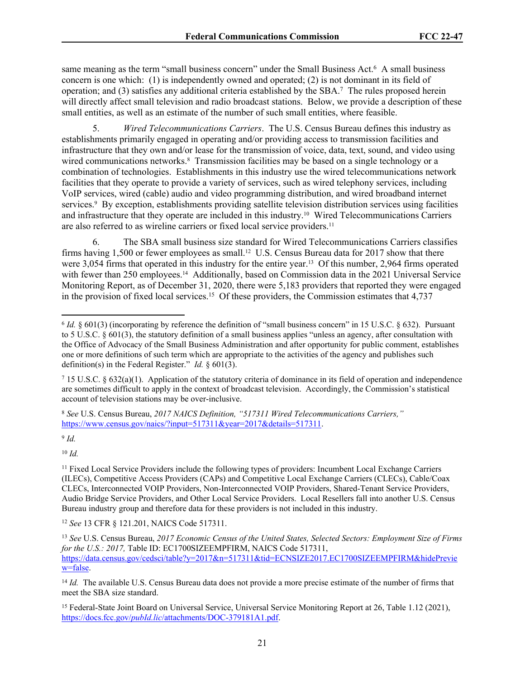same meaning as the term "small business concern" under the Small Business Act.<sup>6</sup> A small business concern is one which: (1) is independently owned and operated; (2) is not dominant in its field of operation; and (3) satisfies any additional criteria established by the SBA.<sup>7</sup> The rules proposed herein will directly affect small television and radio broadcast stations. Below, we provide a description of these small entities, as well as an estimate of the number of such small entities, where feasible.

5. *Wired Telecommunications Carriers*. The U.S. Census Bureau defines this industry as establishments primarily engaged in operating and/or providing access to transmission facilities and infrastructure that they own and/or lease for the transmission of voice, data, text, sound, and video using wired communications networks.<sup>8</sup> Transmission facilities may be based on a single technology or a combination of technologies. Establishments in this industry use the wired telecommunications network facilities that they operate to provide a variety of services, such as wired telephony services, including VoIP services, wired (cable) audio and video programming distribution, and wired broadband internet services.<sup>9</sup> By exception, establishments providing satellite television distribution services using facilities and infrastructure that they operate are included in this industry.10 Wired Telecommunications Carriers are also referred to as wireline carriers or fixed local service providers.<sup>11</sup>

6. The SBA small business size standard for Wired Telecommunications Carriers classifies firms having 1,500 or fewer employees as small.<sup>12</sup> U.S. Census Bureau data for 2017 show that there were 3,054 firms that operated in this industry for the entire year.<sup>13</sup> Of this number, 2,964 firms operated with fewer than 250 employees.<sup>14</sup> Additionally, based on Commission data in the 2021 Universal Service Monitoring Report, as of December 31, 2020, there were 5,183 providers that reported they were engaged in the provision of fixed local services.<sup>15</sup> Of these providers, the Commission estimates that 4,737

9 *Id.*

<sup>10</sup> *Id.*

<sup>12</sup> *See* 13 CFR § 121.201, NAICS Code 517311.

 $6$  *Id.* § 601(3) (incorporating by reference the definition of "small business concern" in 15 U.S.C. § 632). Pursuant to 5 U.S.C. § 601(3), the statutory definition of a small business applies "unless an agency, after consultation with the Office of Advocacy of the Small Business Administration and after opportunity for public comment, establishes one or more definitions of such term which are appropriate to the activities of the agency and publishes such definition(s) in the Federal Register." *Id.* § 601(3).

<sup>&</sup>lt;sup>7</sup> 15 U.S.C. § 632(a)(1). Application of the statutory criteria of dominance in its field of operation and independence are sometimes difficult to apply in the context of broadcast television. Accordingly, the Commission's statistical account of television stations may be over-inclusive.

<sup>8</sup>  *See* U.S. Census Bureau, *2017 NAICS Definition, "517311 Wired Telecommunications Carriers,"* [https://www.census.gov/naics/?input=517311&year=2017&details=517311.](https://www.census.gov/naics/?input=517311&year=2017&details=517311)

<sup>11</sup> Fixed Local Service Providers include the following types of providers: Incumbent Local Exchange Carriers (ILECs), Competitive Access Providers (CAPs) and Competitive Local Exchange Carriers (CLECs), Cable/Coax CLECs, Interconnected VOIP Providers, Non-Interconnected VOIP Providers, Shared-Tenant Service Providers, Audio Bridge Service Providers, and Other Local Service Providers. Local Resellers fall into another U.S. Census Bureau industry group and therefore data for these providers is not included in this industry.

<sup>13</sup> *See* U.S. Census Bureau, *2017 Economic Census of the United States, Selected Sectors: Employment Size of Firms for the U.S.: 2017,* Table ID: EC1700SIZEEMPFIRM, NAICS Code 517311, [https://data.census.gov/cedsci/table?y=2017&n=517311&tid=ECNSIZE2017.EC1700SIZEEMPFIRM&hidePrevie](https://data.census.gov/cedsci/table?y=2017&n=517311&tid=ECNSIZE2017.EC1700SIZEEMPFIRM&hidePreview=false) [w=false.](https://data.census.gov/cedsci/table?y=2017&n=517311&tid=ECNSIZE2017.EC1700SIZEEMPFIRM&hidePreview=false)

<sup>&</sup>lt;sup>14</sup> *Id.* The available U.S. Census Bureau data does not provide a more precise estimate of the number of firms that meet the SBA size standard.

<sup>15</sup> Federal-State Joint Board on Universal Service, Universal Service Monitoring Report at 26, Table 1.12 (2021), https://docs.fcc.gov/*pubId.lic*[/attachments/DOC-379181A1.pdf.](https://docs.fcc.gov/public/attachments/DOC-379181A1.pdf)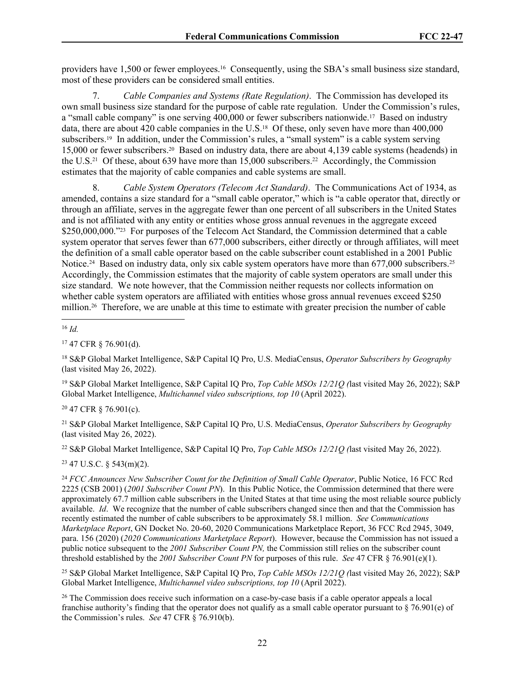providers have 1,500 or fewer employees.16 Consequently, using the SBA's small business size standard, most of these providers can be considered small entities.

7. *Cable Companies and Systems (Rate Regulation)*. The Commission has developed its own small business size standard for the purpose of cable rate regulation. Under the Commission's rules, a "small cable company" is one serving 400,000 or fewer subscribers nationwide.<sup>17</sup> Based on industry data, there are about 420 cable companies in the U.S.<sup>18</sup> Of these, only seven have more than 400,000 subscribers.19 In addition, under the Commission's rules, a "small system" is a cable system serving 15,000 or fewer subscribers.20 Based on industry data, there are about 4,139 cable systems (headends) in the U.S.<sup>21</sup> Of these, about 639 have more than 15,000 subscribers.<sup>22</sup> Accordingly, the Commission estimates that the majority of cable companies and cable systems are small.

8. *Cable System Operators (Telecom Act Standard)*. The Communications Act of 1934, as amended, contains a size standard for a "small cable operator," which is "a cable operator that, directly or through an affiliate, serves in the aggregate fewer than one percent of all subscribers in the United States and is not affiliated with any entity or entities whose gross annual revenues in the aggregate exceed \$250,000,000."<sup>23</sup> For purposes of the Telecom Act Standard, the Commission determined that a cable system operator that serves fewer than 677,000 subscribers, either directly or through affiliates, will meet the definition of a small cable operator based on the cable subscriber count established in a 2001 Public Notice.<sup>24</sup> Based on industry data, only six cable system operators have more than 677,000 subscribers.<sup>25</sup> Accordingly, the Commission estimates that the majority of cable system operators are small under this size standard. We note however, that the Commission neither requests nor collects information on whether cable system operators are affiliated with entities whose gross annual revenues exceed \$250 million.26 Therefore, we are unable at this time to estimate with greater precision the number of cable

<sup>16</sup> *Id.*

<sup>17</sup> 47 CFR § 76.901(d).

<sup>18</sup> S&P Global Market Intelligence, S&P Capital IQ Pro, U.S. MediaCensus, *Operator Subscribers by Geography* (last visited May 26, 2022).

<sup>19</sup> S&P Global Market Intelligence, S&P Capital IQ Pro, *Top Cable MSOs 12/21Q (*last visited May 26, 2022); S&P Global Market Intelligence, *Multichannel video subscriptions, top 10* (April 2022).

<sup>20</sup> 47 CFR § 76.901(c).

<sup>21</sup> S&P Global Market Intelligence, S&P Capital IQ Pro, U.S. MediaCensus, *Operator Subscribers by Geography* (last visited May 26, 2022).

<sup>22</sup> S&P Global Market Intelligence, S&P Capital IQ Pro, *Top Cable MSOs 12/21Q (*last visited May 26, 2022).

 $23$  47 U.S.C.  $\frac{23}{47}$  U.S.C.

<sup>24</sup> *FCC Announces New Subscriber Count for the Definition of Small Cable Operator*, Public Notice, 16 FCC Rcd 2225 (CSB 2001) (*2001 Subscriber Count PN*). In this Public Notice, the Commission determined that there were approximately 67.7 million cable subscribers in the United States at that time using the most reliable source publicly available. *Id*. We recognize that the number of cable subscribers changed since then and that the Commission has recently estimated the number of cable subscribers to be approximately 58.1 million. *See Communications Marketplace Report*, GN Docket No. 20-60, 2020 Communications Marketplace Report, 36 FCC Rcd 2945, 3049, para. 156 (2020) (*2020 Communications Marketplace Report*). However, because the Commission has not issued a public notice subsequent to the *2001 Subscriber Count PN,* the Commission still relies on the subscriber count threshold established by the *2001 Subscriber Count PN* for purposes of this rule. *See* 47 CFR § 76.901(e)(1).

<sup>25</sup> S&P Global Market Intelligence, S&P Capital IQ Pro, *Top Cable MSOs 12/21Q (*last visited May 26, 2022); S&P Global Market Intelligence, *Multichannel video subscriptions, top 10* (April 2022).

<sup>26</sup> The Commission does receive such information on a case-by-case basis if a cable operator appeals a local franchise authority's finding that the operator does not qualify as a small cable operator pursuant to § 76.901(e) of the Commission's rules. *See* 47 CFR § 76.910(b).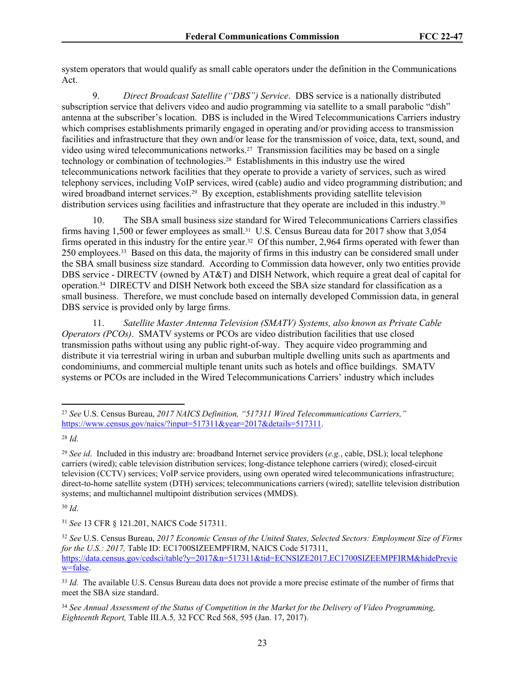system operators that would qualify as small cable operators under the definition in the Communications Act.

9. *Direct Broadcast Satellite ("DBS") Service*. DBS service is a nationally distributed subscription service that delivers video and audio programming via satellite to a small parabolic "dish" antenna at the subscriber's location. DBS is included in the Wired Telecommunications Carriers industry which comprises establishments primarily engaged in operating and/or providing access to transmission facilities and infrastructure that they own and/or lease for the transmission of voice, data, text, sound, and video using wired telecommunications networks.27 Transmission facilities may be based on a single technology or combination of technologies.28 Establishments in this industry use the wired telecommunications network facilities that they operate to provide a variety of services, such as wired telephony services, including VoIP services, wired (cable) audio and video programming distribution; and wired broadband internet services.<sup>29</sup> By exception, establishments providing satellite television distribution services using facilities and infrastructure that they operate are included in this industry.<sup>30</sup>

10. The SBA small business size standard for Wired Telecommunications Carriers classifies firms having 1,500 or fewer employees as small.<sup>31</sup> U.S. Census Bureau data for 2017 show that 3,054 firms operated in this industry for the entire year.<sup>32</sup> Of this number, 2,964 firms operated with fewer than 250 employees.33 Based on this data, the majority of firms in this industry can be considered small under the SBA small business size standard. According to Commission data however, only two entities provide DBS service - DIRECTV (owned by AT&T) and DISH Network, which require a great deal of capital for operation.34 DIRECTV and DISH Network both exceed the SBA size standard for classification as a small business. Therefore, we must conclude based on internally developed Commission data, in general DBS service is provided only by large firms.

11. *Satellite Master Antenna Television (SMATV) Systems, also known as Private Cable Operators (PCOs)*. SMATV systems or PCOs are video distribution facilities that use closed transmission paths without using any public right-of-way. They acquire video programming and distribute it via terrestrial wiring in urban and suburban multiple dwelling units such as apartments and condominiums, and commercial multiple tenant units such as hotels and office buildings. SMATV systems or PCOs are included in the Wired Telecommunications Carriers' industry which includes

<sup>30</sup> *Id*.

<sup>31</sup> *See* 13 CFR § 121.201, NAICS Code 517311.

<sup>27</sup> *See* U.S. Census Bureau, *2017 NAICS Definition, "517311 Wired Telecommunications Carriers,"* [https://www.census.gov/naics/?input=517311&year=2017&details=517311.](https://www.census.gov/naics/?input=517311&year=2017&details=517311)

<sup>28</sup> *Id.*

<sup>29</sup> *See id*. Included in this industry are: broadband Internet service providers (*e.g.*, cable, DSL); local telephone carriers (wired); cable television distribution services; long-distance telephone carriers (wired); closed-circuit television (CCTV) services; VoIP service providers, using own operated wired telecommunications infrastructure; direct-to-home satellite system (DTH) services; telecommunications carriers (wired); satellite television distribution systems; and multichannel multipoint distribution services (MMDS).

<sup>32</sup> *See* U.S. Census Bureau, *2017 Economic Census of the United States, Selected Sectors: Employment Size of Firms for the U.S.: 2017,* Table ID: EC1700SIZEEMPFIRM, NAICS Code 517311, [https://data.census.gov/cedsci/table?y=2017&n=517311&tid=ECNSIZE2017.EC1700SIZEEMPFIRM&hidePrevie](https://data.census.gov/cedsci/table?y=2017&n=517311&tid=ECNSIZE2017.EC1700SIZEEMPFIRM&hidePreview=false) [w=false.](https://data.census.gov/cedsci/table?y=2017&n=517311&tid=ECNSIZE2017.EC1700SIZEEMPFIRM&hidePreview=false)

<sup>&</sup>lt;sup>33</sup> *Id.* The available U.S. Census Bureau data does not provide a more precise estimate of the number of firms that meet the SBA size standard.

<sup>34</sup> *See Annual Assessment of the Status of Competition in the Market for the Delivery of Video Programming, Eighteenth Report,* Table III.A.5*,* 32 FCC Rcd 568, 595 (Jan. 17, 2017).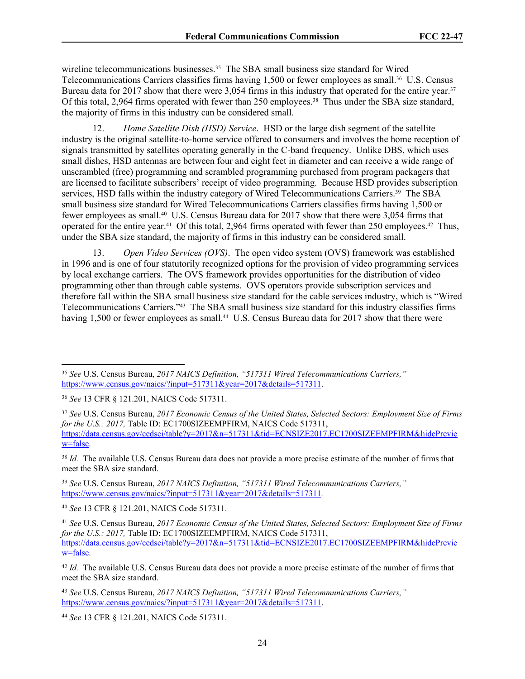wireline telecommunications businesses.<sup>35</sup> The SBA small business size standard for Wired Telecommunications Carriers classifies firms having 1,500 or fewer employees as small.36 U.S. Census Bureau data for 2017 show that there were 3,054 firms in this industry that operated for the entire year.<sup>37</sup> Of this total, 2,964 firms operated with fewer than 250 employees.<sup>38</sup> Thus under the SBA size standard, the majority of firms in this industry can be considered small.

12. *Home Satellite Dish (HSD) Service*. HSD or the large dish segment of the satellite industry is the original satellite-to-home service offered to consumers and involves the home reception of signals transmitted by satellites operating generally in the C-band frequency. Unlike DBS, which uses small dishes, HSD antennas are between four and eight feet in diameter and can receive a wide range of unscrambled (free) programming and scrambled programming purchased from program packagers that are licensed to facilitate subscribers' receipt of video programming. Because HSD provides subscription services, HSD falls within the industry category of Wired Telecommunications Carriers.<sup>39</sup> The SBA small business size standard for Wired Telecommunications Carriers classifies firms having 1,500 or fewer employees as small.40 U.S. Census Bureau data for 2017 show that there were 3,054 firms that operated for the entire year.41 Of this total, 2,964 firms operated with fewer than 250 employees.42 Thus, under the SBA size standard, the majority of firms in this industry can be considered small.

13. *Open Video Services (OVS)*. The open video system (OVS) framework was established in 1996 and is one of four statutorily recognized options for the provision of video programming services by local exchange carriers. The OVS framework provides opportunities for the distribution of video programming other than through cable systems. OVS operators provide subscription services and therefore fall within the SBA small business size standard for the cable services industry, which is "Wired Telecommunications Carriers."43 The SBA small business size standard for this industry classifies firms having 1,500 or fewer employees as small.<sup>44</sup> U.S. Census Bureau data for 2017 show that there were

<sup>38</sup> *Id.* The available U.S. Census Bureau data does not provide a more precise estimate of the number of firms that meet the SBA size standard.

<sup>39</sup> *See* U.S. Census Bureau, *2017 NAICS Definition, "517311 Wired Telecommunications Carriers,"* <https://www.census.gov/naics/?input=517311&year=2017&details=517311>*.*

<sup>40</sup> *See* 13 CFR § 121.201, NAICS Code 517311.

<sup>35</sup> *See* U.S. Census Bureau, *2017 NAICS Definition, "517311 Wired Telecommunications Carriers,"* [https://www.census.gov/naics/?input=517311&year=2017&details=517311.](https://www.census.gov/naics/?input=517311&year=2017&details=517311)

<sup>36</sup> *See* 13 CFR § 121.201, NAICS Code 517311.

<sup>37</sup> *See* U.S. Census Bureau, *2017 Economic Census of the United States, Selected Sectors: Employment Size of Firms for the U.S.: 2017,* Table ID: EC1700SIZEEMPFIRM, NAICS Code 517311, [https://data.census.gov/cedsci/table?y=2017&n=517311&tid=ECNSIZE2017.EC1700SIZEEMPFIRM&hidePrevie](https://data.census.gov/cedsci/table?y=2017&n=517311&tid=ECNSIZE2017.EC1700SIZEEMPFIRM&hidePreview=false) [w=false.](https://data.census.gov/cedsci/table?y=2017&n=517311&tid=ECNSIZE2017.EC1700SIZEEMPFIRM&hidePreview=false)

<sup>41</sup> *See* U.S. Census Bureau, *2017 Economic Census of the United States, Selected Sectors: Employment Size of Firms for the U.S.: 2017,* Table ID: EC1700SIZEEMPFIRM, NAICS Code 517311, [https://data.census.gov/cedsci/table?y=2017&n=517311&tid=ECNSIZE2017.EC1700SIZEEMPFIRM&hidePrevie](https://data.census.gov/cedsci/table?y=2017&n=517311&tid=ECNSIZE2017.EC1700SIZEEMPFIRM&hidePreview=false) [w=false.](https://data.census.gov/cedsci/table?y=2017&n=517311&tid=ECNSIZE2017.EC1700SIZEEMPFIRM&hidePreview=false)

<sup>42</sup> *Id.* The available U.S. Census Bureau data does not provide a more precise estimate of the number of firms that meet the SBA size standard.

<sup>43</sup> *See* U.S. Census Bureau, *2017 NAICS Definition, "517311 Wired Telecommunications Carriers,"* [https://www.census.gov/naics/?input=517311&year=2017&details=517311.](https://www.census.gov/naics/?input=517311&year=2017&details=517311)

<sup>44</sup> *See* 13 CFR § 121.201, NAICS Code 517311.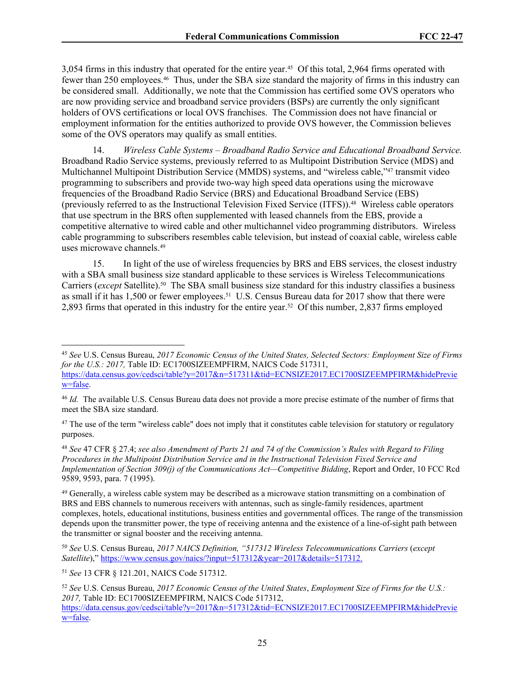3,054 firms in this industry that operated for the entire year.45 Of this total, 2,964 firms operated with fewer than 250 employees.46 Thus, under the SBA size standard the majority of firms in this industry can be considered small. Additionally, we note that the Commission has certified some OVS operators who are now providing service and broadband service providers (BSPs) are currently the only significant holders of OVS certifications or local OVS franchises. The Commission does not have financial or employment information for the entities authorized to provide OVS however, the Commission believes some of the OVS operators may qualify as small entities.

14. *Wireless Cable Systems – Broadband Radio Service and Educational Broadband Service.* Broadband Radio Service systems, previously referred to as Multipoint Distribution Service (MDS) and Multichannel Multipoint Distribution Service (MMDS) systems, and "wireless cable,"47 transmit video programming to subscribers and provide two-way high speed data operations using the microwave frequencies of the Broadband Radio Service (BRS) and Educational Broadband Service (EBS) (previously referred to as the Instructional Television Fixed Service (ITFS)).48 Wireless cable operators that use spectrum in the BRS often supplemented with leased channels from the EBS, provide a competitive alternative to wired cable and other multichannel video programming distributors. Wireless cable programming to subscribers resembles cable television, but instead of coaxial cable, wireless cable uses microwave channels.<sup>49</sup>

15. In light of the use of wireless frequencies by BRS and EBS services, the closest industry with a SBA small business size standard applicable to these services is Wireless Telecommunications Carriers (*except* Satellite).50 The SBA small business size standard for this industry classifies a business as small if it has 1,500 or fewer employees.51 U.S. Census Bureau data for 2017 show that there were 2,893 firms that operated in this industry for the entire year.52 Of this number, 2,837 firms employed

<sup>48</sup> *See* 47 CFR § 27.4; *see also Amendment of Parts 21 and 74 of the Commission's Rules with Regard to Filing Procedures in the Multipoint Distribution Service and in the Instructional Television Fixed Service and Implementation of Section 309(j) of the Communications Act—Competitive Bidding*, Report and Order, 10 FCC Rcd 9589, 9593, para. 7 (1995).

<sup>45</sup> *See* U.S. Census Bureau, *2017 Economic Census of the United States, Selected Sectors: Employment Size of Firms for the U.S.: 2017,* Table ID: EC1700SIZEEMPFIRM, NAICS Code 517311, [https://data.census.gov/cedsci/table?y=2017&n=517311&tid=ECNSIZE2017.EC1700SIZEEMPFIRM&hidePrevie](https://data.census.gov/cedsci/table?y=2017&n=517311&tid=ECNSIZE2017.EC1700SIZEEMPFIRM&hidePreview=false) [w=false.](https://data.census.gov/cedsci/table?y=2017&n=517311&tid=ECNSIZE2017.EC1700SIZEEMPFIRM&hidePreview=false)

<sup>46</sup> *Id.* The available U.S. Census Bureau data does not provide a more precise estimate of the number of firms that meet the SBA size standard.

 $47$  The use of the term "wireless cable" does not imply that it constitutes cable television for statutory or regulatory purposes.

<sup>&</sup>lt;sup>49</sup> Generally, a wireless cable system may be described as a microwave station transmitting on a combination of BRS and EBS channels to numerous receivers with antennas, such as single-family residences, apartment complexes, hotels, educational institutions, business entities and governmental offices. The range of the transmission depends upon the transmitter power, the type of receiving antenna and the existence of a line-of-sight path between the transmitter or signal booster and the receiving antenna.

<sup>50</sup> *See* U.S. Census Bureau, *2017 NAICS Definition, "517312 Wireless Telecommunications Carriers* (*except Satellite*)," [https://www.census.gov/naics/?input=517312&year=2017&details=517312.](https://www.census.gov/naics/?input=517312&year=2017&details=517312)

<sup>51</sup> *See* 13 CFR § 121.201, NAICS Code 517312.

<sup>52</sup> *See* U.S. Census Bureau, *2017 Economic Census of the United States*, *Employment Size of Firms for the U.S.: 2017,* Table ID: EC1700SIZEEMPFIRM, NAICS Code 517312,

[https://data.census.gov/cedsci/table?y=2017&n=517312&tid=ECNSIZE2017.EC1700SIZEEMPFIRM&hidePrevie](https://data.census.gov/cedsci/table?y=2017&n=517312&tid=ECNSIZE2017.EC1700SIZEEMPFIRM&hidePreview=false) [w=false.](https://data.census.gov/cedsci/table?y=2017&n=517312&tid=ECNSIZE2017.EC1700SIZEEMPFIRM&hidePreview=false)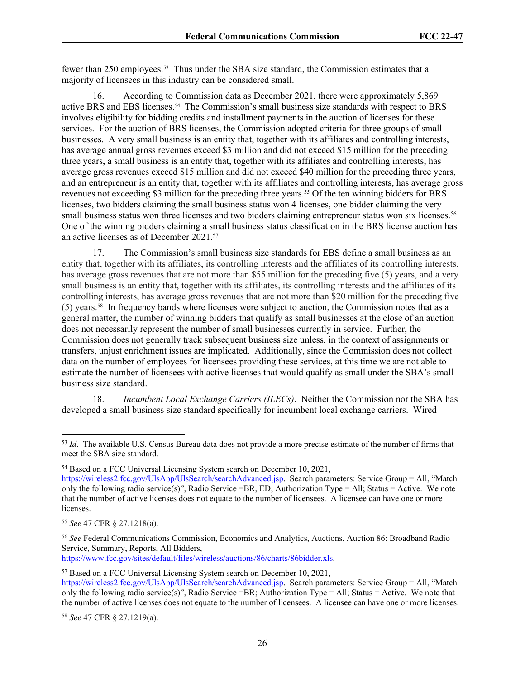fewer than 250 employees.53 Thus under the SBA size standard, the Commission estimates that a majority of licensees in this industry can be considered small.

16. According to Commission data as December 2021, there were approximately 5,869 active BRS and EBS licenses.54 The Commission's small business size standards with respect to BRS involves eligibility for bidding credits and installment payments in the auction of licenses for these services. For the auction of BRS licenses, the Commission adopted criteria for three groups of small businesses. A very small business is an entity that, together with its affiliates and controlling interests, has average annual gross revenues exceed \$3 million and did not exceed \$15 million for the preceding three years, a small business is an entity that, together with its affiliates and controlling interests, has average gross revenues exceed \$15 million and did not exceed \$40 million for the preceding three years, and an entrepreneur is an entity that, together with its affiliates and controlling interests, has average gross revenues not exceeding \$3 million for the preceding three years.<sup>55</sup> Of the ten winning bidders for BRS licenses, two bidders claiming the small business status won 4 licenses, one bidder claiming the very small business status won three licenses and two bidders claiming entrepreneur status won six licenses.<sup>56</sup> One of the winning bidders claiming a small business status classification in the BRS license auction has an active licenses as of December 2021.<sup>57</sup>

17. The Commission's small business size standards for EBS define a small business as an entity that, together with its affiliates, its controlling interests and the affiliates of its controlling interests, has average gross revenues that are not more than \$55 million for the preceding five (5) years, and a very small business is an entity that, together with its affiliates, its controlling interests and the affiliates of its controlling interests, has average gross revenues that are not more than \$20 million for the preceding five (5) years.58 In frequency bands where licenses were subject to auction, the Commission notes that as a general matter, the number of winning bidders that qualify as small businesses at the close of an auction does not necessarily represent the number of small businesses currently in service. Further, the Commission does not generally track subsequent business size unless, in the context of assignments or transfers, unjust enrichment issues are implicated. Additionally, since the Commission does not collect data on the number of employees for licensees providing these services, at this time we are not able to estimate the number of licensees with active licenses that would qualify as small under the SBA's small business size standard.

18. *Incumbent Local Exchange Carriers (ILECs)*. Neither the Commission nor the SBA has developed a small business size standard specifically for incumbent local exchange carriers. Wired

<https://www.fcc.gov/sites/default/files/wireless/auctions/86/charts/86bidder.xls>.

<sup>53</sup> *Id*. The available U.S. Census Bureau data does not provide a more precise estimate of the number of firms that meet the SBA size standard.

<sup>54</sup> Based on a FCC Universal Licensing System search on December 10, 2021,

[https://wireless2.fcc.gov/UlsApp/UlsSearch/searchAdvanced.jsp.](https://wireless2.fcc.gov/UlsApp/UlsSearch/searchAdvanced.jsp) Search parameters: Service Group = All, "Match only the following radio service(s)", Radio Service =BR, ED; Authorization Type = All; Status = Active. We note that the number of active licenses does not equate to the number of licensees. A licensee can have one or more licenses.

<sup>55</sup> *See* 47 CFR § 27.1218(a).

<sup>56</sup> *See* Federal Communications Commission, Economics and Analytics, Auctions, Auction 86: Broadband Radio Service, Summary, Reports, All Bidders,

<sup>57</sup> Based on a FCC Universal Licensing System search on December 10, 2021,

[https://wireless2.fcc.gov/UlsApp/UlsSearch/searchAdvanced.jsp.](https://wireless2.fcc.gov/UlsApp/UlsSearch/searchAdvanced.jsp) Search parameters: Service Group = All, "Match only the following radio service(s)", Radio Service =BR; Authorization Type = All; Status = Active. We note that the number of active licenses does not equate to the number of licensees. A licensee can have one or more licenses.

<sup>58</sup> *See* 47 CFR § 27.1219(a).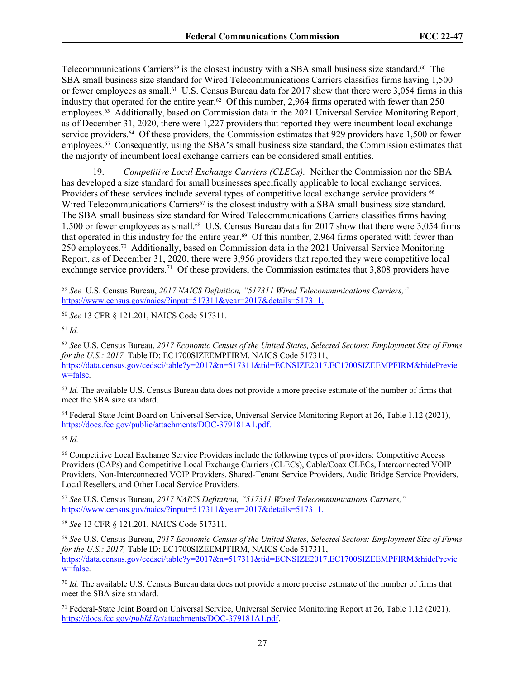Telecommunications Carriers<sup>59</sup> is the closest industry with a SBA small business size standard.<sup>60</sup> The SBA small business size standard for Wired Telecommunications Carriers classifies firms having 1,500 or fewer employees as small.61 U.S. Census Bureau data for 2017 show that there were 3,054 firms in this industry that operated for the entire year.62 Of this number, 2,964 firms operated with fewer than 250 employees.63 Additionally, based on Commission data in the 2021 Universal Service Monitoring Report, as of December 31, 2020, there were 1,227 providers that reported they were incumbent local exchange service providers.64 Of these providers, the Commission estimates that 929 providers have 1,500 or fewer employees.65 Consequently, using the SBA's small business size standard, the Commission estimates that the majority of incumbent local exchange carriers can be considered small entities.

19. *Competitive Local Exchange Carriers (CLECs).* Neither the Commission nor the SBA has developed a size standard for small businesses specifically applicable to local exchange services. Providers of these services include several types of competitive local exchange service providers.<sup>66</sup> Wired Telecommunications Carriers<sup>67</sup> is the closest industry with a SBA small business size standard. The SBA small business size standard for Wired Telecommunications Carriers classifies firms having 1,500 or fewer employees as small.<sup>68</sup> U.S. Census Bureau data for 2017 show that there were 3,054 firms that operated in this industry for the entire year.<sup>69</sup> Of this number, 2,964 firms operated with fewer than 250 employees.70 Additionally, based on Commission data in the 2021 Universal Service Monitoring Report, as of December 31, 2020, there were 3,956 providers that reported they were competitive local exchange service providers.<sup>71</sup> Of these providers, the Commission estimates that 3,808 providers have

<sup>60</sup> *See* 13 CFR § 121.201, NAICS Code 517311.

<sup>61</sup> *Id.*

<sup>62</sup> *See* U.S. Census Bureau, *2017 Economic Census of the United States, Selected Sectors: Employment Size of Firms for the U.S.: 2017.* Table ID: EC1700SIZEEMPFIRM, NAICS Code 517311, [https://data.census.gov/cedsci/table?y=2017&n=517311&tid=ECNSIZE2017.EC1700SIZEEMPFIRM&hidePrevie](https://data.census.gov/cedsci/table?y=2017&n=517311&tid=ECNSIZE2017.EC1700SIZEEMPFIRM&hidePreview=false) [w=false.](https://data.census.gov/cedsci/table?y=2017&n=517311&tid=ECNSIZE2017.EC1700SIZEEMPFIRM&hidePreview=false)

<sup>63</sup> *Id.* The available U.S. Census Bureau data does not provide a more precise estimate of the number of firms that meet the SBA size standard.

<sup>64</sup> Federal-State Joint Board on Universal Service, Universal Service Monitoring Report at 26, Table 1.12 (2021), [https://docs.fcc.gov/public/attachments/DOC-379181A1.pdf.](https://docs.fcc.gov/public/attachments/DOC-379181A1.pdf)

<sup>65</sup> *Id.*

<sup>66</sup> Competitive Local Exchange Service Providers include the following types of providers: Competitive Access Providers (CAPs) and Competitive Local Exchange Carriers (CLECs), Cable/Coax CLECs, Interconnected VOIP Providers, Non-Interconnected VOIP Providers, Shared-Tenant Service Providers, Audio Bridge Service Providers, Local Resellers, and Other Local Service Providers.

<sup>67</sup> *See* U.S. Census Bureau, *2017 NAICS Definition, "517311 Wired Telecommunications Carriers,"* [https://www.census.gov/naics/?input=517311&year=2017&details=517311.](https://www.census.gov/naics/?input=517311&year=2017&details=517311)

<sup>68</sup> *See* 13 CFR § 121.201, NAICS Code 517311.

<sup>70</sup> *Id.* The available U.S. Census Bureau data does not provide a more precise estimate of the number of firms that meet the SBA size standard.

<sup>71</sup> Federal-State Joint Board on Universal Service, Universal Service Monitoring Report at 26, Table 1.12 (2021), https://docs.fcc.gov/*pubId.lic*[/attachments/DOC-379181A1.pdf.](https://docs.fcc.gov/public/attachments/DOC-379181A1.pdf)

<sup>59</sup> *See* U.S. Census Bureau, *2017 NAICS Definition, "517311 Wired Telecommunications Carriers,"* [https://www.census.gov/naics/?input=517311&year=2017&details=517311.](https://www.census.gov/naics/?input=517311&year=2017&details=517311)

<sup>69</sup> *See* U.S. Census Bureau, *2017 Economic Census of the United States, Selected Sectors: Employment Size of Firms for the U.S.: 2017, Table ID: EC1700SIZEEMPFIRM, NAICS Code 517311,* [https://data.census.gov/cedsci/table?y=2017&n=517311&tid=ECNSIZE2017.EC1700SIZEEMPFIRM&hidePrevie](https://data.census.gov/cedsci/table?y=2017&n=517311&tid=ECNSIZE2017.EC1700SIZEEMPFIRM&hidePreview=false) [w=false.](https://data.census.gov/cedsci/table?y=2017&n=517311&tid=ECNSIZE2017.EC1700SIZEEMPFIRM&hidePreview=false)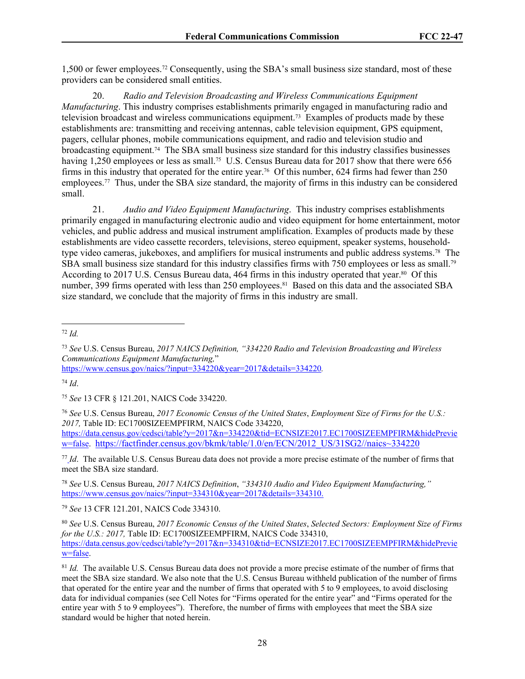1,500 or fewer employees.72 Consequently, using the SBA's small business size standard, most of these providers can be considered small entities.

20. *Radio and Television Broadcasting and Wireless Communications Equipment Manufacturing*. This industry comprises establishments primarily engaged in manufacturing radio and television broadcast and wireless communications equipment.73 Examples of products made by these establishments are: transmitting and receiving antennas, cable television equipment, GPS equipment, pagers, cellular phones, mobile communications equipment, and radio and television studio and broadcasting equipment.74 The SBA small business size standard for this industry classifies businesses having 1,250 employees or less as small.<sup>75</sup> U.S. Census Bureau data for 2017 show that there were 656 firms in this industry that operated for the entire year.76 Of this number, 624 firms had fewer than 250 employees.77 Thus, under the SBA size standard, the majority of firms in this industry can be considered small.

21. *Audio and Video Equipment Manufacturing*. This industry comprises establishments primarily engaged in manufacturing electronic audio and video equipment for home entertainment, motor vehicles, and public address and musical instrument amplification. Examples of products made by these establishments are video cassette recorders, televisions, stereo equipment, speaker systems, householdtype video cameras, jukeboxes, and amplifiers for musical instruments and public address systems.78 The SBA small business size standard for this industry classifies firms with 750 employees or less as small.<sup>79</sup> According to 2017 U.S. Census Bureau data, 464 firms in this industry operated that year.80 Of this number, 399 firms operated with less than 250 employees.<sup>81</sup> Based on this data and the associated SBA size standard, we conclude that the majority of firms in this industry are small.

<sup>72</sup> *Id.*

<https://www.census.gov/naics/?input=334220&year=2017&details=334220>*.* 

<sup>74</sup> *Id*.

<sup>75</sup> *See* 13 CFR § 121.201, NAICS Code 334220.

<sup>76</sup> *See* U.S. Census Bureau, *2017 Economic Census of the United States*, *Employment Size of Firms for the U.S.: 2017,* Table ID: EC1700SIZEEMPFIRM, NAICS Code 334220, [https://data.census.gov/cedsci/table?y=2017&n=334220&tid=ECNSIZE2017.EC1700SIZEEMPFIRM&hidePrevie](https://data.census.gov/cedsci/table?y=2017&n=334220&tid=ECNSIZE2017.EC1700SIZEEMPFIRM&hidePreview=false) [w=false.](https://data.census.gov/cedsci/table?y=2017&n=334220&tid=ECNSIZE2017.EC1700SIZEEMPFIRM&hidePreview=false) [https://factfinder.census.gov/bkmk/table/1.0/en/ECN/2012\\_US/31SG2//naics~334220](https://factfinder.census.gov/bkmk/table/1.0/en/ECN/2012_US/31SG2//naics~334220)

<sup>77</sup> *Id*. The available U.S. Census Bureau data does not provide a more precise estimate of the number of firms that meet the SBA size standard.

<sup>78</sup> *See* U.S. Census Bureau, *2017 NAICS Definition*, *"334310 Audio and Video Equipment Manufacturing,"* [https://www.census.gov/naics/?input=334310&year=2017&details=334310.](https://www.census.gov/naics/?input=334310&year=2017&details=334310)

<sup>79</sup> *See* 13 CFR 121.201, NAICS Code 334310.

<sup>73</sup> *See* U.S. Census Bureau, *2017 NAICS Definition, "334220 Radio and Television Broadcasting and Wireless Communications Equipment Manufacturing,*"

<sup>80</sup> *See* U.S. Census Bureau, *2017 Economic Census of the United States*, *Selected Sectors: Employment Size of Firms for the U.S.: 2017, Table ID: EC1700SIZEEMPFIRM, NAICS Code 334310,* [https://data.census.gov/cedsci/table?y=2017&n=334310&tid=ECNSIZE2017.EC1700SIZEEMPFIRM&hidePrevie](https://data.census.gov/cedsci/table?y=2017&n=334310&tid=ECNSIZE2017.EC1700SIZEEMPFIRM&hidePreview=false) [w=false.](https://data.census.gov/cedsci/table?y=2017&n=334310&tid=ECNSIZE2017.EC1700SIZEEMPFIRM&hidePreview=false)

<sup>81</sup> *Id.* The available U.S. Census Bureau data does not provide a more precise estimate of the number of firms that meet the SBA size standard. We also note that the U.S. Census Bureau withheld publication of the number of firms that operated for the entire year and the number of firms that operated with 5 to 9 employees, to avoid disclosing data for individual companies (see Cell Notes for "Firms operated for the entire year" and "Firms operated for the entire year with 5 to 9 employees"). Therefore, the number of firms with employees that meet the SBA size standard would be higher that noted herein.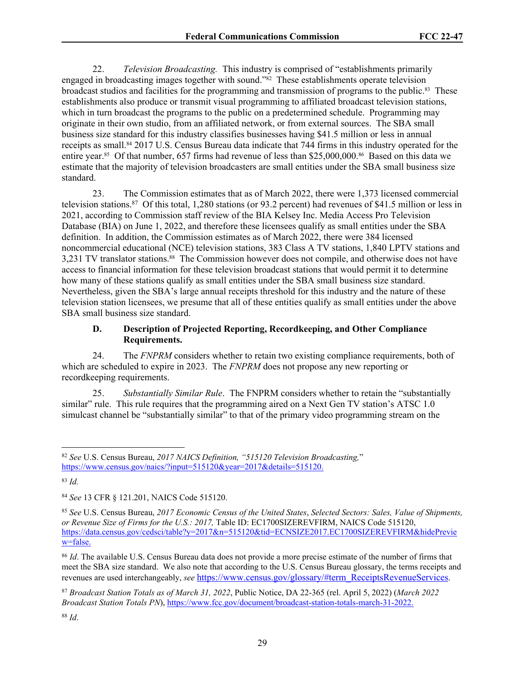22. *Television Broadcasting.* This industry is comprised of "establishments primarily engaged in broadcasting images together with sound."82 These establishments operate television broadcast studios and facilities for the programming and transmission of programs to the public.83 These establishments also produce or transmit visual programming to affiliated broadcast television stations, which in turn broadcast the programs to the public on a predetermined schedule. Programming may originate in their own studio, from an affiliated network, or from external sources. The SBA small business size standard for this industry classifies businesses having \$41.5 million or less in annual receipts as small.84 2017 U.S. Census Bureau data indicate that 744 firms in this industry operated for the entire year.85 Of that number, 657 firms had revenue of less than \$25,000,000.86 Based on this data we estimate that the majority of television broadcasters are small entities under the SBA small business size standard.

23. The Commission estimates that as of March 2022, there were 1,373 licensed commercial television stations.<sup>87</sup> Of this total, 1,280 stations (or 93.2 percent) had revenues of \$41.5 million or less in 2021, according to Commission staff review of the BIA Kelsey Inc. Media Access Pro Television Database (BIA) on June 1, 2022, and therefore these licensees qualify as small entities under the SBA definition. In addition, the Commission estimates as of March 2022, there were 384 licensed noncommercial educational (NCE) television stations, 383 Class A TV stations, 1,840 LPTV stations and 3,231 TV translator stations.88 The Commission however does not compile, and otherwise does not have access to financial information for these television broadcast stations that would permit it to determine how many of these stations qualify as small entities under the SBA small business size standard. Nevertheless, given the SBA's large annual receipts threshold for this industry and the nature of these television station licensees, we presume that all of these entities qualify as small entities under the above SBA small business size standard.

## **D. Description of Projected Reporting, Recordkeeping, and Other Compliance Requirements.**

24. The *FNPRM* considers whether to retain two existing compliance requirements, both of which are scheduled to expire in 2023. The *FNPRM* does not propose any new reporting or recordkeeping requirements.

25. *Substantially Similar Rule*. The FNPRM considers whether to retain the "substantially similar" rule. This rule requires that the programming aired on a Next Gen TV station's ATSC 1.0 simulcast channel be "substantially similar" to that of the primary video programming stream on the

<sup>82</sup> *See* U.S. Census Bureau, *2017 NAICS Definition, "515120 Television Broadcasting,*" [https://www.census.gov/naics/?input=515120&year=2017&details=515120.](https://www.census.gov/naics/?input=515120&year=2017&details=515120)

<sup>83</sup> *Id.*

<sup>84</sup> *See* 13 CFR § 121.201, NAICS Code 515120.

<sup>85</sup> *See* U.S. Census Bureau, *2017 Economic Census of the United States*, *Selected Sectors: Sales, Value of Shipments, or Revenue Size of Firms for the U.S.: 2017,* Table ID: EC1700SIZEREVFIRM, NAICS Code 515120, https://data.census.gov/cedsci/table?y=2017&n=515120&tid=ECNSIZE2017.EC1700SIZEREVFIRM&hidePrevie w=false.

<sup>86</sup> *Id*. The available U.S. Census Bureau data does not provide a more precise estimate of the number of firms that meet the SBA size standard. We also note that according to the U.S. Census Bureau glossary, the terms receipts and revenues are used interchangeably, *see* [https://www.census.gov/glossary/#term\\_ReceiptsRevenueServices](https://www.census.gov/glossary/#term_ReceiptsRevenueServices).

<sup>87</sup> *Broadcast Station Totals as of March 31, 2022*, Public Notice, DA 22-365 (rel. April 5, 2022) (*March 2022 Broadcast Station Totals PN*), [https://www.fcc.gov/document/broadcast-station-totals-march-31-2022.](https://www.fcc.gov/document/broadcast-station-totals-march-31-2022.b)

<sup>88</sup> *Id*.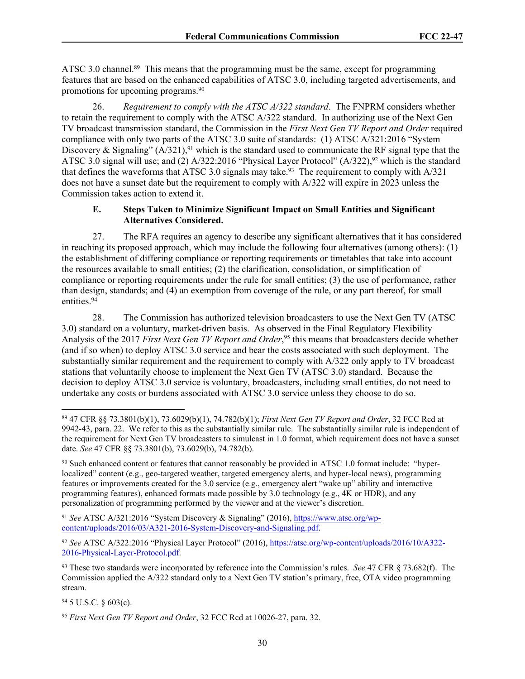ATSC 3.0 channel.<sup>89</sup> This means that the programming must be the same, except for programming features that are based on the enhanced capabilities of ATSC 3.0, including targeted advertisements, and promotions for upcoming programs.<sup>90</sup>

26. *Requirement to comply with the ATSC A/322 standard*. The FNPRM considers whether to retain the requirement to comply with the ATSC A/322 standard. In authorizing use of the Next Gen TV broadcast transmission standard, the Commission in the *First Next Gen TV Report and Order* required compliance with only two parts of the ATSC 3.0 suite of standards: (1) ATSC A/321:2016 "System Discovery & Signaling"  $(A/321)$ ,<sup>91</sup> which is the standard used to communicate the RF signal type that the ATSC 3.0 signal will use; and (2) A/322:2016 "Physical Layer Protocol" (A/322),<sup>92</sup> which is the standard that defines the waveforms that ATSC 3.0 signals may take.<sup>93</sup> The requirement to comply with  $A/321$ does not have a sunset date but the requirement to comply with A/322 will expire in 2023 unless the Commission takes action to extend it.

## **E. Steps Taken to Minimize Significant Impact on Small Entities and Significant Alternatives Considered.**

27. The RFA requires an agency to describe any significant alternatives that it has considered in reaching its proposed approach, which may include the following four alternatives (among others): (1) the establishment of differing compliance or reporting requirements or timetables that take into account the resources available to small entities; (2) the clarification, consolidation, or simplification of compliance or reporting requirements under the rule for small entities; (3) the use of performance, rather than design, standards; and (4) an exemption from coverage of the rule, or any part thereof, for small entities.<sup>94</sup>

28. The Commission has authorized television broadcasters to use the Next Gen TV (ATSC 3.0) standard on a voluntary, market-driven basis. As observed in the Final Regulatory Flexibility Analysis of the 2017 *First Next Gen TV Report and Order*, <sup>95</sup> this means that broadcasters decide whether (and if so when) to deploy ATSC 3.0 service and bear the costs associated with such deployment. The substantially similar requirement and the requirement to comply with A/322 only apply to TV broadcast stations that voluntarily choose to implement the Next Gen TV (ATSC 3.0) standard. Because the decision to deploy ATSC 3.0 service is voluntary, broadcasters, including small entities, do not need to undertake any costs or burdens associated with ATSC 3.0 service unless they choose to do so.

<sup>91</sup> *See* ATSC A/321:2016 "System Discovery & Signaling" (2016), [https://www.atsc.org/wp](https://www.atsc.org/wp-content/uploads/2016/03/A321-2016-System-Discovery-and-Signaling.pdf)[content/uploads/2016/03/A321-2016-System-Discovery-and-Signaling.pdf.](https://www.atsc.org/wp-content/uploads/2016/03/A321-2016-System-Discovery-and-Signaling.pdf)

<sup>92</sup> *See* ATSC A/322:2016 "Physical Layer Protocol" (2016), [https://atsc.org/wp-content/uploads/2016/10/A322-](https://atsc.org/wp-content/uploads/2016/10/A322-2016-Physical-Layer-Protocol.pdf) [2016-Physical-Layer-Protocol.pdf.](https://atsc.org/wp-content/uploads/2016/10/A322-2016-Physical-Layer-Protocol.pdf)

<sup>93</sup> These two standards were incorporated by reference into the Commission's rules. *See* 47 CFR § 73.682(f). The Commission applied the A/322 standard only to a Next Gen TV station's primary, free, OTA video programming stream.

<sup>94</sup> 5 U.S.C. § 603(c).

<sup>89</sup> 47 CFR §§ 73.3801(b)(1), 73.6029(b)(1), 74.782(b)(1); *First Next Gen TV Report and Order*, 32 FCC Rcd at 9942-43, para. 22. We refer to this as the substantially similar rule. The substantially similar rule is independent of the requirement for Next Gen TV broadcasters to simulcast in 1.0 format, which requirement does not have a sunset date. *See* 47 CFR §§ 73.3801(b), 73.6029(b), 74.782(b).

<sup>90</sup> Such enhanced content or features that cannot reasonably be provided in ATSC 1.0 format include: "hyperlocalized" content (e.g., geo-targeted weather, targeted emergency alerts, and hyper-local news), programming features or improvements created for the 3.0 service (e.g., emergency alert "wake up" ability and interactive programming features), enhanced formats made possible by 3.0 technology (e.g., 4K or HDR), and any personalization of programming performed by the viewer and at the viewer's discretion.

<sup>95</sup> *First Next Gen TV Report and Order*, 32 FCC Rcd at 10026-27, para. 32.